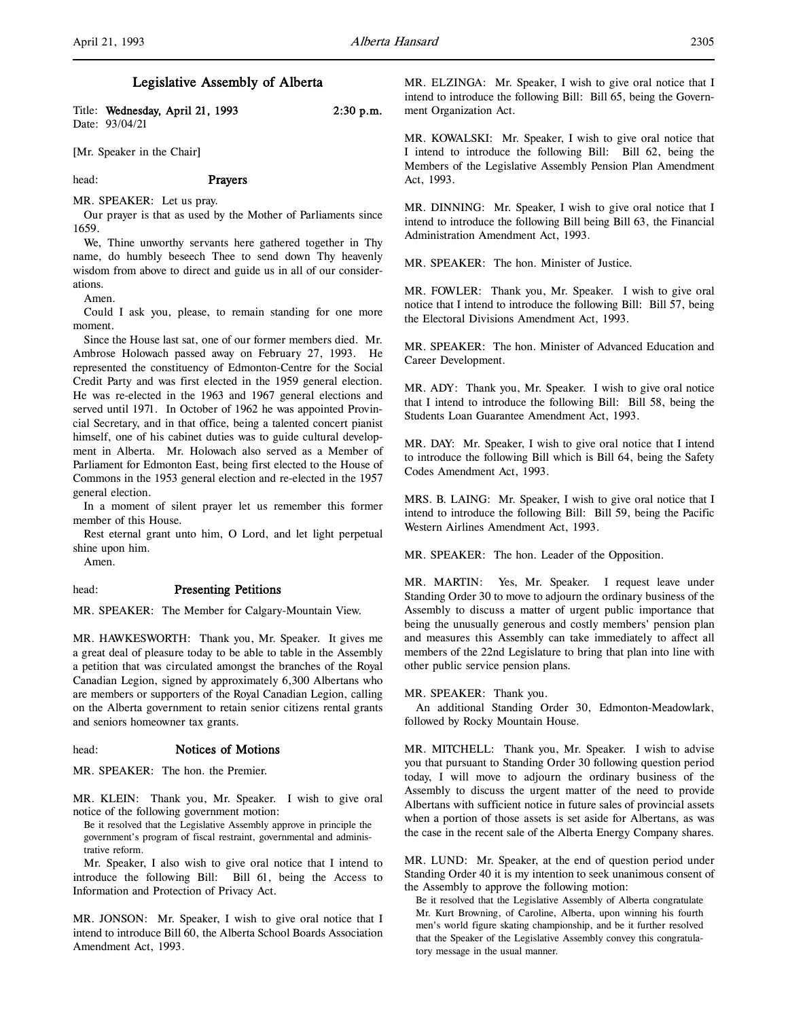Title: Wednesday, April 21, 1993 2:30 p.m. Date: 93/04/21

[Mr. Speaker in the Chair]

#### head: Prayers

# MR. SPEAKER: Let us pray.

Our prayer is that as used by the Mother of Parliaments since 1659.

We, Thine unworthy servants here gathered together in Thy name, do humbly beseech Thee to send down Thy heavenly wisdom from above to direct and guide us in all of our considerations.

Amen.

Could I ask you, please, to remain standing for one more moment.

Since the House last sat, one of our former members died. Mr. Ambrose Holowach passed away on February 27, 1993. He represented the constituency of Edmonton-Centre for the Social Credit Party and was first elected in the 1959 general election. He was re-elected in the 1963 and 1967 general elections and served until 1971. In October of 1962 he was appointed Provincial Secretary, and in that office, being a talented concert pianist himself, one of his cabinet duties was to guide cultural development in Alberta. Mr. Holowach also served as a Member of Parliament for Edmonton East, being first elected to the House of Commons in the 1953 general election and re-elected in the 1957 general election.

In a moment of silent prayer let us remember this former member of this House.

Rest eternal grant unto him, O Lord, and let light perpetual shine upon him.

Amen.

#### head: Presenting Petitions

MR. SPEAKER: The Member for Calgary-Mountain View.

MR. HAWKESWORTH: Thank you, Mr. Speaker. It gives me a great deal of pleasure today to be able to table in the Assembly a petition that was circulated amongst the branches of the Royal Canadian Legion, signed by approximately 6,300 Albertans who are members or supporters of the Royal Canadian Legion, calling on the Alberta government to retain senior citizens rental grants and seniors homeowner tax grants.

#### head: Notices of Motions

MR. SPEAKER: The hon. the Premier.

MR. KLEIN: Thank you, Mr. Speaker. I wish to give oral notice of the following government motion:

Be it resolved that the Legislative Assembly approve in principle the government's program of fiscal restraint, governmental and administrative reform.

Mr. Speaker, I also wish to give oral notice that I intend to introduce the following Bill: Bill 61, being the Access to Information and Protection of Privacy Act.

MR. JONSON: Mr. Speaker, I wish to give oral notice that I intend to introduce Bill 60, the Alberta School Boards Association Amendment Act, 1993.

MR. ELZINGA: Mr. Speaker, I wish to give oral notice that I intend to introduce the following Bill: Bill 65, being the Government Organization Act.

MR. KOWALSKI: Mr. Speaker, I wish to give oral notice that I intend to introduce the following Bill: Bill 62, being the Members of the Legislative Assembly Pension Plan Amendment Act, 1993.

MR. DINNING: Mr. Speaker, I wish to give oral notice that I intend to introduce the following Bill being Bill 63, the Financial Administration Amendment Act, 1993.

MR. SPEAKER: The hon. Minister of Justice.

MR. FOWLER: Thank you, Mr. Speaker. I wish to give oral notice that I intend to introduce the following Bill: Bill 57, being the Electoral Divisions Amendment Act, 1993.

MR. SPEAKER: The hon. Minister of Advanced Education and Career Development.

MR. ADY: Thank you, Mr. Speaker. I wish to give oral notice that I intend to introduce the following Bill: Bill 58, being the Students Loan Guarantee Amendment Act, 1993.

MR. DAY: Mr. Speaker, I wish to give oral notice that I intend to introduce the following Bill which is Bill 64, being the Safety Codes Amendment Act, 1993.

MRS. B. LAING: Mr. Speaker, I wish to give oral notice that I intend to introduce the following Bill: Bill 59, being the Pacific Western Airlines Amendment Act, 1993.

MR. SPEAKER: The hon. Leader of the Opposition.

MR. MARTIN: Yes, Mr. Speaker. I request leave under Standing Order 30 to move to adjourn the ordinary business of the Assembly to discuss a matter of urgent public importance that being the unusually generous and costly members' pension plan and measures this Assembly can take immediately to affect all members of the 22nd Legislature to bring that plan into line with other public service pension plans.

#### MR. SPEAKER: Thank you.

An additional Standing Order 30, Edmonton-Meadowlark, followed by Rocky Mountain House.

MR. MITCHELL: Thank you, Mr. Speaker. I wish to advise you that pursuant to Standing Order 30 following question period today, I will move to adjourn the ordinary business of the Assembly to discuss the urgent matter of the need to provide Albertans with sufficient notice in future sales of provincial assets when a portion of those assets is set aside for Albertans, as was the case in the recent sale of the Alberta Energy Company shares.

MR. LUND: Mr. Speaker, at the end of question period under Standing Order 40 it is my intention to seek unanimous consent of the Assembly to approve the following motion:

Be it resolved that the Legislative Assembly of Alberta congratulate Mr. Kurt Browning, of Caroline, Alberta, upon winning his fourth men's world figure skating championship, and be it further resolved that the Speaker of the Legislative Assembly convey this congratulatory message in the usual manner.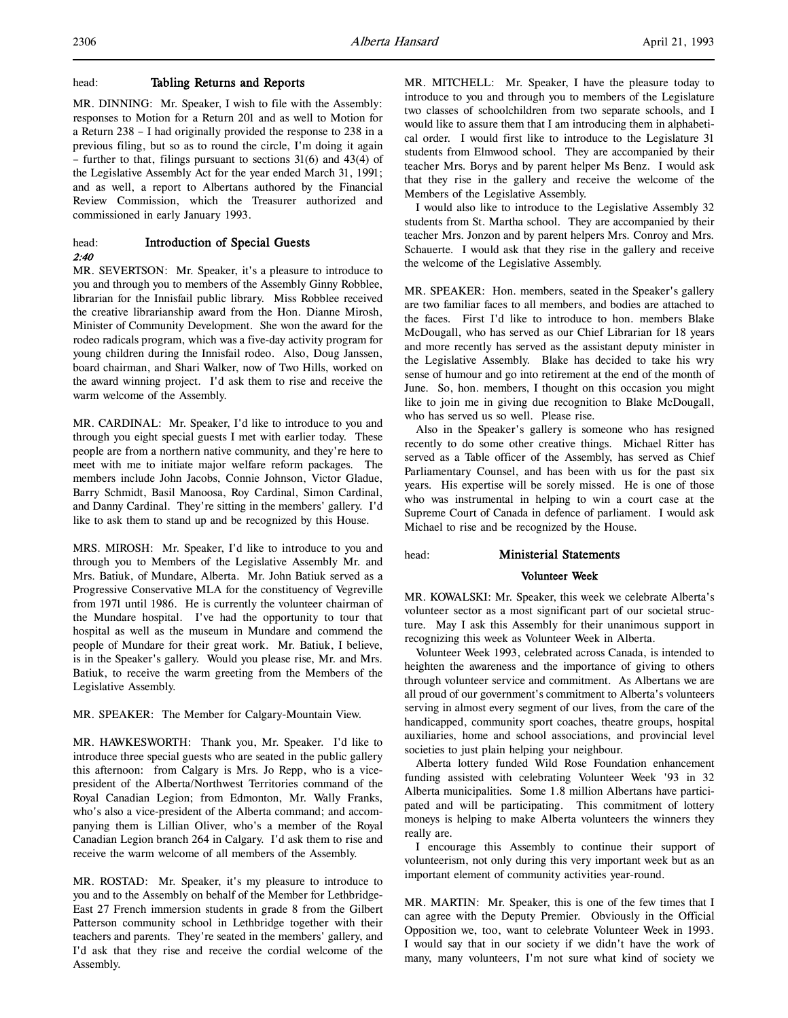# head: Tabling Returns and Reports

MR. DINNING: Mr. Speaker, I wish to file with the Assembly: responses to Motion for a Return 201 and as well to Motion for a Return 238 – I had originally provided the response to 238 in a previous filing, but so as to round the circle, I'm doing it again – further to that, filings pursuant to sections 31(6) and 43(4) of the Legislative Assembly Act for the year ended March 31, 1991; and as well, a report to Albertans authored by the Financial Review Commission, which the Treasurer authorized and commissioned in early January 1993.

# head: Introduction of Special Guests 2:40

MR. SEVERTSON: Mr. Speaker, it's a pleasure to introduce to you and through you to members of the Assembly Ginny Robblee, librarian for the Innisfail public library. Miss Robblee received the creative librarianship award from the Hon. Dianne Mirosh, Minister of Community Development. She won the award for the rodeo radicals program, which was a five-day activity program for young children during the Innisfail rodeo. Also, Doug Janssen, board chairman, and Shari Walker, now of Two Hills, worked on the award winning project. I'd ask them to rise and receive the warm welcome of the Assembly.

MR. CARDINAL: Mr. Speaker, I'd like to introduce to you and through you eight special guests I met with earlier today. These people are from a northern native community, and they're here to meet with me to initiate major welfare reform packages. The members include John Jacobs, Connie Johnson, Victor Gladue, Barry Schmidt, Basil Manoosa, Roy Cardinal, Simon Cardinal, and Danny Cardinal. They're sitting in the members' gallery. I'd like to ask them to stand up and be recognized by this House.

MRS. MIROSH: Mr. Speaker, I'd like to introduce to you and through you to Members of the Legislative Assembly Mr. and Mrs. Batiuk, of Mundare, Alberta. Mr. John Batiuk served as a Progressive Conservative MLA for the constituency of Vegreville from 1971 until 1986. He is currently the volunteer chairman of the Mundare hospital. I've had the opportunity to tour that hospital as well as the museum in Mundare and commend the people of Mundare for their great work. Mr. Batiuk, I believe, is in the Speaker's gallery. Would you please rise, Mr. and Mrs. Batiuk, to receive the warm greeting from the Members of the Legislative Assembly.

MR. SPEAKER: The Member for Calgary-Mountain View.

MR. HAWKESWORTH: Thank you, Mr. Speaker. I'd like to introduce three special guests who are seated in the public gallery this afternoon: from Calgary is Mrs. Jo Repp, who is a vicepresident of the Alberta/Northwest Territories command of the Royal Canadian Legion; from Edmonton, Mr. Wally Franks, who's also a vice-president of the Alberta command; and accompanying them is Lillian Oliver, who's a member of the Royal Canadian Legion branch 264 in Calgary. I'd ask them to rise and receive the warm welcome of all members of the Assembly.

MR. ROSTAD: Mr. Speaker, it's my pleasure to introduce to you and to the Assembly on behalf of the Member for Lethbridge-East 27 French immersion students in grade 8 from the Gilbert Patterson community school in Lethbridge together with their teachers and parents. They're seated in the members' gallery, and I'd ask that they rise and receive the cordial welcome of the Assembly.

MR. MITCHELL: Mr. Speaker, I have the pleasure today to introduce to you and through you to members of the Legislature two classes of schoolchildren from two separate schools, and I would like to assure them that I am introducing them in alphabetical order. I would first like to introduce to the Legislature 31 students from Elmwood school. They are accompanied by their teacher Mrs. Borys and by parent helper Ms Benz. I would ask that they rise in the gallery and receive the welcome of the Members of the Legislative Assembly.

I would also like to introduce to the Legislative Assembly 32 students from St. Martha school. They are accompanied by their teacher Mrs. Jonzon and by parent helpers Mrs. Conroy and Mrs. Schauerte. I would ask that they rise in the gallery and receive the welcome of the Legislative Assembly.

MR. SPEAKER: Hon. members, seated in the Speaker's gallery are two familiar faces to all members, and bodies are attached to the faces. First I'd like to introduce to hon. members Blake McDougall, who has served as our Chief Librarian for 18 years and more recently has served as the assistant deputy minister in the Legislative Assembly. Blake has decided to take his wry sense of humour and go into retirement at the end of the month of June. So, hon. members, I thought on this occasion you might like to join me in giving due recognition to Blake McDougall, who has served us so well. Please rise.

Also in the Speaker's gallery is someone who has resigned recently to do some other creative things. Michael Ritter has served as a Table officer of the Assembly, has served as Chief Parliamentary Counsel, and has been with us for the past six years. His expertise will be sorely missed. He is one of those who was instrumental in helping to win a court case at the Supreme Court of Canada in defence of parliament. I would ask Michael to rise and be recognized by the House.

# head: Ministerial Statements

# Volunteer Week

MR. KOWALSKI: Mr. Speaker, this week we celebrate Alberta's volunteer sector as a most significant part of our societal structure. May I ask this Assembly for their unanimous support in recognizing this week as Volunteer Week in Alberta.

Volunteer Week 1993, celebrated across Canada, is intended to heighten the awareness and the importance of giving to others through volunteer service and commitment. As Albertans we are all proud of our government's commitment to Alberta's volunteers serving in almost every segment of our lives, from the care of the handicapped, community sport coaches, theatre groups, hospital auxiliaries, home and school associations, and provincial level societies to just plain helping your neighbour.

Alberta lottery funded Wild Rose Foundation enhancement funding assisted with celebrating Volunteer Week '93 in 32 Alberta municipalities. Some 1.8 million Albertans have participated and will be participating. This commitment of lottery moneys is helping to make Alberta volunteers the winners they really are.

I encourage this Assembly to continue their support of volunteerism, not only during this very important week but as an important element of community activities year-round.

MR. MARTIN: Mr. Speaker, this is one of the few times that I can agree with the Deputy Premier. Obviously in the Official Opposition we, too, want to celebrate Volunteer Week in 1993. I would say that in our society if we didn't have the work of many, many volunteers, I'm not sure what kind of society we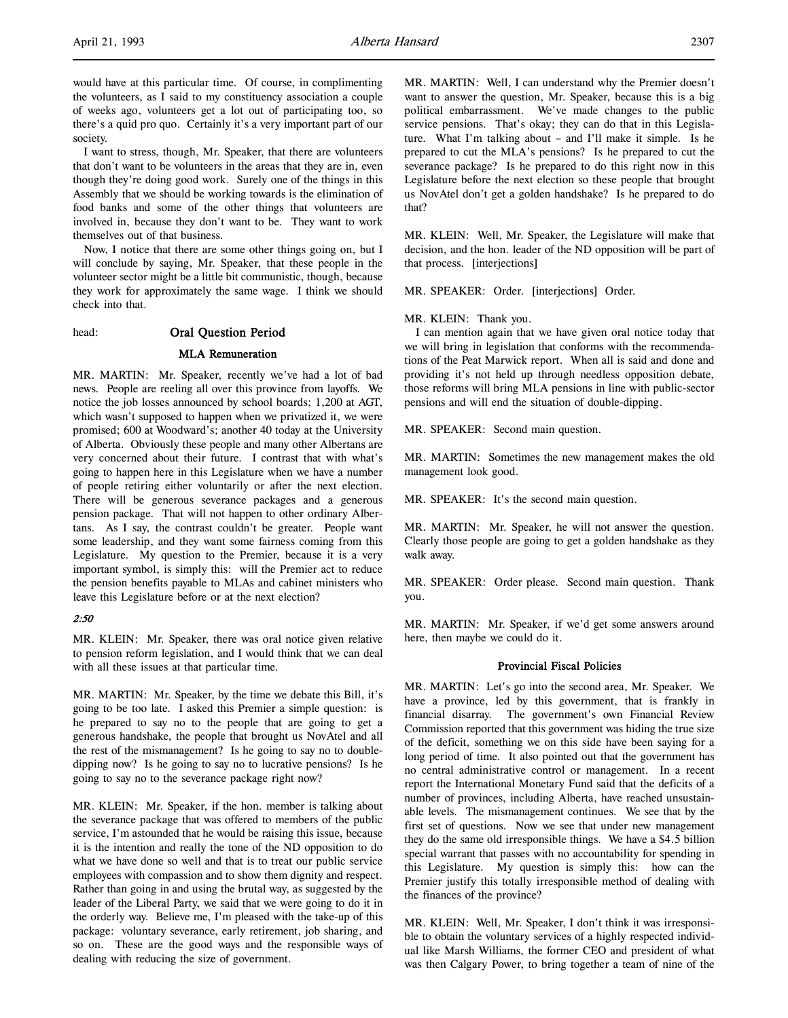l,

would have at this particular time. Of course, in complimenting the volunteers, as I said to my constituency association a couple of weeks ago, volunteers get a lot out of participating too, so there's a quid pro quo. Certainly it's a very important part of our society.

I want to stress, though, Mr. Speaker, that there are volunteers that don't want to be volunteers in the areas that they are in, even though they're doing good work. Surely one of the things in this Assembly that we should be working towards is the elimination of food banks and some of the other things that volunteers are involved in, because they don't want to be. They want to work themselves out of that business.

Now, I notice that there are some other things going on, but I will conclude by saying, Mr. Speaker, that these people in the volunteer sector might be a little bit communistic, though, because they work for approximately the same wage. I think we should check into that.

# head: Oral Question Period

# MLA Remuneration

MR. MARTIN: Mr. Speaker, recently we've had a lot of bad news. People are reeling all over this province from layoffs. We notice the job losses announced by school boards; 1,200 at AGT, which wasn't supposed to happen when we privatized it, we were promised; 600 at Woodward's; another 40 today at the University of Alberta. Obviously these people and many other Albertans are very concerned about their future. I contrast that with what's going to happen here in this Legislature when we have a number of people retiring either voluntarily or after the next election. There will be generous severance packages and a generous pension package. That will not happen to other ordinary Albertans. As I say, the contrast couldn't be greater. People want some leadership, and they want some fairness coming from this Legislature. My question to the Premier, because it is a very important symbol, is simply this: will the Premier act to reduce the pension benefits payable to MLAs and cabinet ministers who leave this Legislature before or at the next election?

# 2:50

MR. KLEIN: Mr. Speaker, there was oral notice given relative to pension reform legislation, and I would think that we can deal with all these issues at that particular time.

MR. MARTIN: Mr. Speaker, by the time we debate this Bill, it's going to be too late. I asked this Premier a simple question: is he prepared to say no to the people that are going to get a generous handshake, the people that brought us NovAtel and all the rest of the mismanagement? Is he going to say no to doubledipping now? Is he going to say no to lucrative pensions? Is he going to say no to the severance package right now?

MR. KLEIN: Mr. Speaker, if the hon. member is talking about the severance package that was offered to members of the public service, I'm astounded that he would be raising this issue, because it is the intention and really the tone of the ND opposition to do what we have done so well and that is to treat our public service employees with compassion and to show them dignity and respect. Rather than going in and using the brutal way, as suggested by the leader of the Liberal Party, we said that we were going to do it in the orderly way. Believe me, I'm pleased with the take-up of this package: voluntary severance, early retirement, job sharing, and so on. These are the good ways and the responsible ways of dealing with reducing the size of government.

MR. MARTIN: Well, I can understand why the Premier doesn't want to answer the question, Mr. Speaker, because this is a big political embarrassment. We've made changes to the public service pensions. That's okay; they can do that in this Legislature. What I'm talking about – and I'll make it simple. Is he prepared to cut the MLA's pensions? Is he prepared to cut the severance package? Is he prepared to do this right now in this Legislature before the next election so these people that brought us NovAtel don't get a golden handshake? Is he prepared to do that?

MR. KLEIN: Well, Mr. Speaker, the Legislature will make that decision, and the hon. leader of the ND opposition will be part of that process. [interjections]

MR. SPEAKER: Order. [interjections] Order.

#### MR. KLEIN: Thank you.

I can mention again that we have given oral notice today that we will bring in legislation that conforms with the recommendations of the Peat Marwick report. When all is said and done and providing it's not held up through needless opposition debate, those reforms will bring MLA pensions in line with public-sector pensions and will end the situation of double-dipping.

MR. SPEAKER: Second main question.

MR. MARTIN: Sometimes the new management makes the old management look good.

MR. SPEAKER: It's the second main question.

MR. MARTIN: Mr. Speaker, he will not answer the question. Clearly those people are going to get a golden handshake as they walk away.

MR. SPEAKER: Order please. Second main question. Thank you.

MR. MARTIN: Mr. Speaker, if we'd get some answers around here, then maybe we could do it.

#### Provincial Fiscal Policies

MR. MARTIN: Let's go into the second area, Mr. Speaker. We have a province, led by this government, that is frankly in financial disarray. The government's own Financial Review Commission reported that this government was hiding the true size of the deficit, something we on this side have been saying for a long period of time. It also pointed out that the government has no central administrative control or management. In a recent report the International Monetary Fund said that the deficits of a number of provinces, including Alberta, have reached unsustainable levels. The mismanagement continues. We see that by the first set of questions. Now we see that under new management they do the same old irresponsible things. We have a \$4.5 billion special warrant that passes with no accountability for spending in this Legislature. My question is simply this: how can the Premier justify this totally irresponsible method of dealing with the finances of the province?

MR. KLEIN: Well, Mr. Speaker, I don't think it was irresponsible to obtain the voluntary services of a highly respected individual like Marsh Williams, the former CEO and president of what was then Calgary Power, to bring together a team of nine of the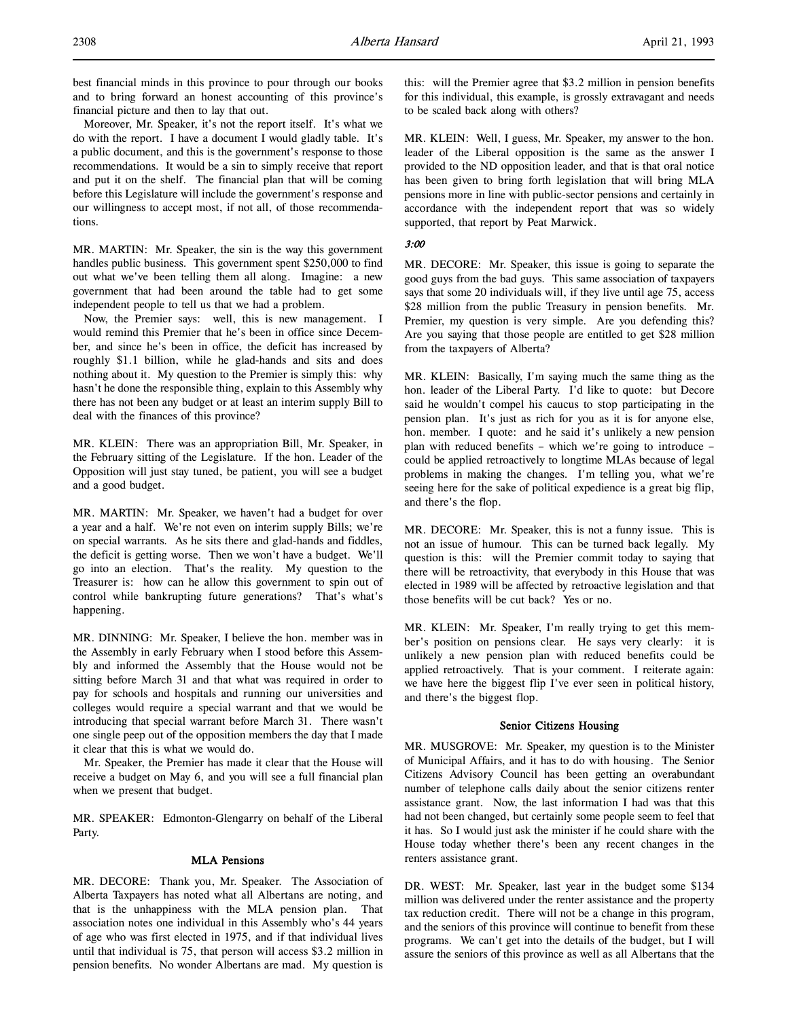best financial minds in this province to pour through our books and to bring forward an honest accounting of this province's financial picture and then to lay that out.

Moreover, Mr. Speaker, it's not the report itself. It's what we do with the report. I have a document I would gladly table. It's a public document, and this is the government's response to those recommendations. It would be a sin to simply receive that report and put it on the shelf. The financial plan that will be coming before this Legislature will include the government's response and our willingness to accept most, if not all, of those recommendations.

MR. MARTIN: Mr. Speaker, the sin is the way this government handles public business. This government spent \$250,000 to find out what we've been telling them all along. Imagine: a new government that had been around the table had to get some independent people to tell us that we had a problem.

Now, the Premier says: well, this is new management. I would remind this Premier that he's been in office since December, and since he's been in office, the deficit has increased by roughly \$1.1 billion, while he glad-hands and sits and does nothing about it. My question to the Premier is simply this: why hasn't he done the responsible thing, explain to this Assembly why there has not been any budget or at least an interim supply Bill to deal with the finances of this province?

MR. KLEIN: There was an appropriation Bill, Mr. Speaker, in the February sitting of the Legislature. If the hon. Leader of the Opposition will just stay tuned, be patient, you will see a budget and a good budget.

MR. MARTIN: Mr. Speaker, we haven't had a budget for over a year and a half. We're not even on interim supply Bills; we're on special warrants. As he sits there and glad-hands and fiddles, the deficit is getting worse. Then we won't have a budget. We'll go into an election. That's the reality. My question to the Treasurer is: how can he allow this government to spin out of control while bankrupting future generations? That's what's happening.

MR. DINNING: Mr. Speaker, I believe the hon. member was in the Assembly in early February when I stood before this Assembly and informed the Assembly that the House would not be sitting before March 31 and that what was required in order to pay for schools and hospitals and running our universities and colleges would require a special warrant and that we would be introducing that special warrant before March 31. There wasn't one single peep out of the opposition members the day that I made it clear that this is what we would do.

Mr. Speaker, the Premier has made it clear that the House will receive a budget on May 6, and you will see a full financial plan when we present that budget.

MR. SPEAKER: Edmonton-Glengarry on behalf of the Liberal Party.

# MLA Pensions

MR. DECORE: Thank you, Mr. Speaker. The Association of Alberta Taxpayers has noted what all Albertans are noting, and that is the unhappiness with the MLA pension plan. That association notes one individual in this Assembly who's 44 years of age who was first elected in 1975, and if that individual lives until that individual is 75, that person will access \$3.2 million in pension benefits. No wonder Albertans are mad. My question is this: will the Premier agree that \$3.2 million in pension benefits for this individual, this example, is grossly extravagant and needs to be scaled back along with others?

MR. KLEIN: Well, I guess, Mr. Speaker, my answer to the hon. leader of the Liberal opposition is the same as the answer I provided to the ND opposition leader, and that is that oral notice has been given to bring forth legislation that will bring MLA pensions more in line with public-sector pensions and certainly in accordance with the independent report that was so widely supported, that report by Peat Marwick.

#### 3:00

MR. DECORE: Mr. Speaker, this issue is going to separate the good guys from the bad guys. This same association of taxpayers says that some 20 individuals will, if they live until age 75, access \$28 million from the public Treasury in pension benefits. Mr. Premier, my question is very simple. Are you defending this? Are you saying that those people are entitled to get \$28 million from the taxpayers of Alberta?

MR. KLEIN: Basically, I'm saying much the same thing as the hon. leader of the Liberal Party. I'd like to quote: but Decore said he wouldn't compel his caucus to stop participating in the pension plan. It's just as rich for you as it is for anyone else, hon. member. I quote: and he said it's unlikely a new pension plan with reduced benefits – which we're going to introduce – could be applied retroactively to longtime MLAs because of legal problems in making the changes. I'm telling you, what we're seeing here for the sake of political expedience is a great big flip, and there's the flop.

MR. DECORE: Mr. Speaker, this is not a funny issue. This is not an issue of humour. This can be turned back legally. My question is this: will the Premier commit today to saying that there will be retroactivity, that everybody in this House that was elected in 1989 will be affected by retroactive legislation and that those benefits will be cut back? Yes or no.

MR. KLEIN: Mr. Speaker, I'm really trying to get this member's position on pensions clear. He says very clearly: it is unlikely a new pension plan with reduced benefits could be applied retroactively. That is your comment. I reiterate again: we have here the biggest flip I've ever seen in political history, and there's the biggest flop.

#### Senior Citizens Housing

MR. MUSGROVE: Mr. Speaker, my question is to the Minister of Municipal Affairs, and it has to do with housing. The Senior Citizens Advisory Council has been getting an overabundant number of telephone calls daily about the senior citizens renter assistance grant. Now, the last information I had was that this had not been changed, but certainly some people seem to feel that it has. So I would just ask the minister if he could share with the House today whether there's been any recent changes in the renters assistance grant.

DR. WEST: Mr. Speaker, last year in the budget some \$134 million was delivered under the renter assistance and the property tax reduction credit. There will not be a change in this program, and the seniors of this province will continue to benefit from these programs. We can't get into the details of the budget, but I will assure the seniors of this province as well as all Albertans that the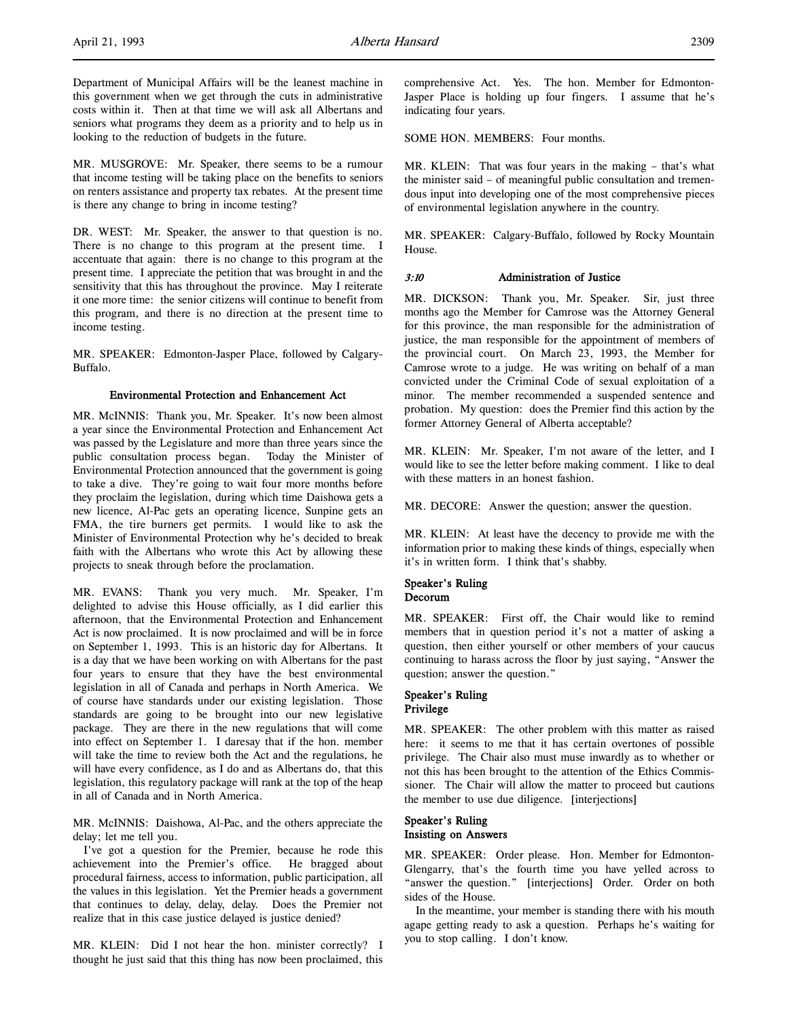Department of Municipal Affairs will be the leanest machine in this government when we get through the cuts in administrative costs within it. Then at that time we will ask all Albertans and seniors what programs they deem as a priority and to help us in looking to the reduction of budgets in the future.

MR. MUSGROVE: Mr. Speaker, there seems to be a rumour that income testing will be taking place on the benefits to seniors on renters assistance and property tax rebates. At the present time is there any change to bring in income testing?

DR. WEST: Mr. Speaker, the answer to that question is no. There is no change to this program at the present time. I accentuate that again: there is no change to this program at the present time. I appreciate the petition that was brought in and the sensitivity that this has throughout the province. May I reiterate it one more time: the senior citizens will continue to benefit from this program, and there is no direction at the present time to income testing.

MR. SPEAKER: Edmonton-Jasper Place, followed by Calgary-Buffalo.

# Environmental Protection and Enhancement Act

MR. McINNIS: Thank you, Mr. Speaker. It's now been almost a year since the Environmental Protection and Enhancement Act was passed by the Legislature and more than three years since the public consultation process began. Today the Minister of Environmental Protection announced that the government is going to take a dive. They're going to wait four more months before they proclaim the legislation, during which time Daishowa gets a new licence, Al-Pac gets an operating licence, Sunpine gets an FMA, the tire burners get permits. I would like to ask the Minister of Environmental Protection why he's decided to break faith with the Albertans who wrote this Act by allowing these projects to sneak through before the proclamation.

MR. EVANS: Thank you very much. Mr. Speaker, I'm delighted to advise this House officially, as I did earlier this afternoon, that the Environmental Protection and Enhancement Act is now proclaimed. It is now proclaimed and will be in force on September 1, 1993. This is an historic day for Albertans. It is a day that we have been working on with Albertans for the past four years to ensure that they have the best environmental legislation in all of Canada and perhaps in North America. We of course have standards under our existing legislation. Those standards are going to be brought into our new legislative package. They are there in the new regulations that will come into effect on September 1. I daresay that if the hon. member will take the time to review both the Act and the regulations, he will have every confidence, as I do and as Albertans do, that this legislation, this regulatory package will rank at the top of the heap in all of Canada and in North America.

MR. McINNIS: Daishowa, Al-Pac, and the others appreciate the delay; let me tell you.

I've got a question for the Premier, because he rode this achievement into the Premier's office. He bragged about procedural fairness, access to information, public participation, all the values in this legislation. Yet the Premier heads a government that continues to delay, delay, delay. Does the Premier not realize that in this case justice delayed is justice denied?

MR. KLEIN: Did I not hear the hon. minister correctly? I thought he just said that this thing has now been proclaimed, this SOME HON. MEMBERS: Four months.

MR. KLEIN: That was four years in the making – that's what the minister said – of meaningful public consultation and tremendous input into developing one of the most comprehensive pieces of environmental legislation anywhere in the country.

MR. SPEAKER: Calgary-Buffalo, followed by Rocky Mountain House.

#### 3:10 Administration of Justice

MR. DICKSON: Thank you, Mr. Speaker. Sir, just three months ago the Member for Camrose was the Attorney General for this province, the man responsible for the administration of justice, the man responsible for the appointment of members of the provincial court. On March 23, 1993, the Member for Camrose wrote to a judge. He was writing on behalf of a man convicted under the Criminal Code of sexual exploitation of a minor. The member recommended a suspended sentence and probation. My question: does the Premier find this action by the former Attorney General of Alberta acceptable?

MR. KLEIN: Mr. Speaker, I'm not aware of the letter, and I would like to see the letter before making comment. I like to deal with these matters in an honest fashion.

MR. DECORE: Answer the question; answer the question.

MR. KLEIN: At least have the decency to provide me with the information prior to making these kinds of things, especially when it's in written form. I think that's shabby.

# Speaker's Ruling

# Decorum

MR. SPEAKER: First off, the Chair would like to remind members that in question period it's not a matter of asking a question, then either yourself or other members of your caucus continuing to harass across the floor by just saying, "Answer the question; answer the question."

# Speaker's Ruling Privilege

MR. SPEAKER: The other problem with this matter as raised here: it seems to me that it has certain overtones of possible privilege. The Chair also must muse inwardly as to whether or not this has been brought to the attention of the Ethics Commissioner. The Chair will allow the matter to proceed but cautions the member to use due diligence. [interjections]

# Speaker's Ruling Insisting on Answers

MR. SPEAKER: Order please. Hon. Member for Edmonton-Glengarry, that's the fourth time you have yelled across to "answer the question." [interjections] Order. Order on both sides of the House.

In the meantime, your member is standing there with his mouth agape getting ready to ask a question. Perhaps he's waiting for you to stop calling. I don't know.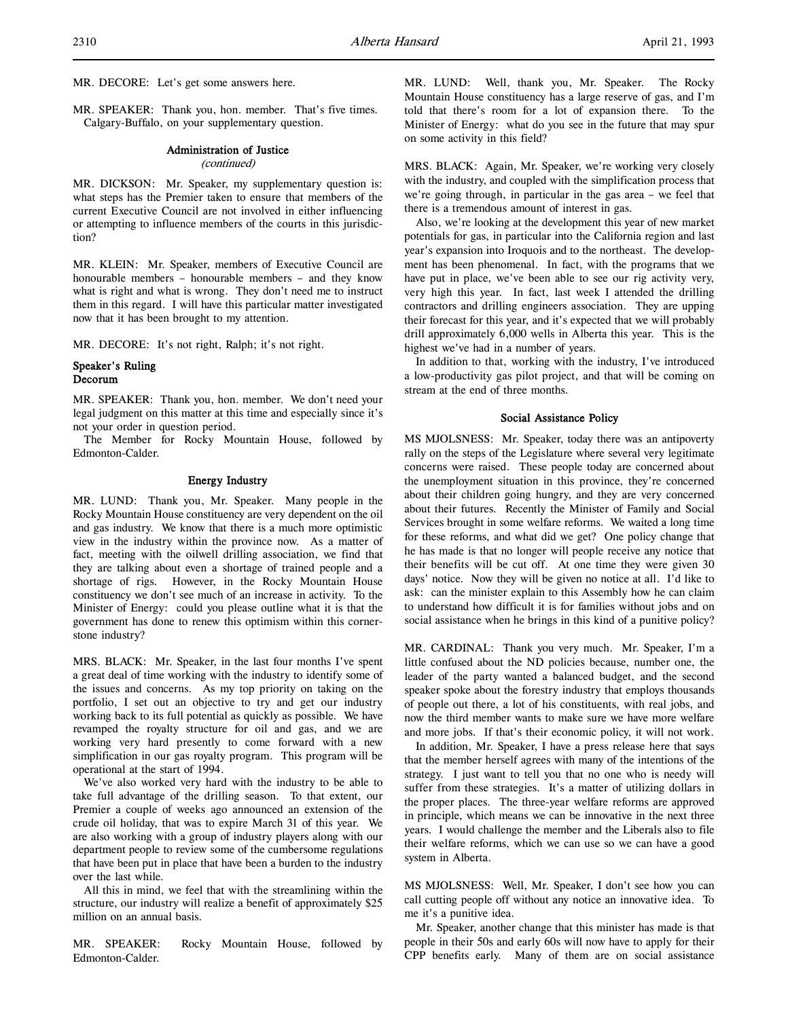MR. DECORE: Let's get some answers here.

MR. SPEAKER: Thank you, hon. member. That's five times. Calgary-Buffalo, on your supplementary question.

#### Administration of Justice (continued)

MR. DICKSON: Mr. Speaker, my supplementary question is: what steps has the Premier taken to ensure that members of the current Executive Council are not involved in either influencing or attempting to influence members of the courts in this jurisdiction?

MR. KLEIN: Mr. Speaker, members of Executive Council are honourable members – honourable members – and they know what is right and what is wrong. They don't need me to instruct them in this regard. I will have this particular matter investigated now that it has been brought to my attention.

MR. DECORE: It's not right, Ralph; it's not right.

# Speaker's Ruling Decorum

MR. SPEAKER: Thank you, hon. member. We don't need your legal judgment on this matter at this time and especially since it's not your order in question period.

The Member for Rocky Mountain House, followed by Edmonton-Calder.

#### Energy Industry

MR. LUND: Thank you, Mr. Speaker. Many people in the Rocky Mountain House constituency are very dependent on the oil and gas industry. We know that there is a much more optimistic view in the industry within the province now. As a matter of fact, meeting with the oilwell drilling association, we find that they are talking about even a shortage of trained people and a shortage of rigs. However, in the Rocky Mountain House constituency we don't see much of an increase in activity. To the Minister of Energy: could you please outline what it is that the government has done to renew this optimism within this cornerstone industry?

MRS. BLACK: Mr. Speaker, in the last four months I've spent a great deal of time working with the industry to identify some of the issues and concerns. As my top priority on taking on the portfolio, I set out an objective to try and get our industry working back to its full potential as quickly as possible. We have revamped the royalty structure for oil and gas, and we are working very hard presently to come forward with a new simplification in our gas royalty program. This program will be operational at the start of 1994.

We've also worked very hard with the industry to be able to take full advantage of the drilling season. To that extent, our Premier a couple of weeks ago announced an extension of the crude oil holiday, that was to expire March 31 of this year. We are also working with a group of industry players along with our department people to review some of the cumbersome regulations that have been put in place that have been a burden to the industry over the last while.

All this in mind, we feel that with the streamlining within the structure, our industry will realize a benefit of approximately \$25 million on an annual basis.

MR. SPEAKER: Rocky Mountain House, followed by Edmonton-Calder.

MR. LUND: Well, thank you, Mr. Speaker. The Rocky Mountain House constituency has a large reserve of gas, and I'm told that there's room for a lot of expansion there. To the Minister of Energy: what do you see in the future that may spur on some activity in this field?

MRS. BLACK: Again, Mr. Speaker, we're working very closely with the industry, and coupled with the simplification process that we're going through, in particular in the gas area – we feel that there is a tremendous amount of interest in gas.

Also, we're looking at the development this year of new market potentials for gas, in particular into the California region and last year's expansion into Iroquois and to the northeast. The development has been phenomenal. In fact, with the programs that we have put in place, we've been able to see our rig activity very, very high this year. In fact, last week I attended the drilling contractors and drilling engineers association. They are upping their forecast for this year, and it's expected that we will probably drill approximately 6,000 wells in Alberta this year. This is the highest we've had in a number of years.

In addition to that, working with the industry, I've introduced a low-productivity gas pilot project, and that will be coming on stream at the end of three months.

#### Social Assistance Policy

MS MJOLSNESS: Mr. Speaker, today there was an antipoverty rally on the steps of the Legislature where several very legitimate concerns were raised. These people today are concerned about the unemployment situation in this province, they're concerned about their children going hungry, and they are very concerned about their futures. Recently the Minister of Family and Social Services brought in some welfare reforms. We waited a long time for these reforms, and what did we get? One policy change that he has made is that no longer will people receive any notice that their benefits will be cut off. At one time they were given 30 days' notice. Now they will be given no notice at all. I'd like to ask: can the minister explain to this Assembly how he can claim to understand how difficult it is for families without jobs and on social assistance when he brings in this kind of a punitive policy?

MR. CARDINAL: Thank you very much. Mr. Speaker, I'm a little confused about the ND policies because, number one, the leader of the party wanted a balanced budget, and the second speaker spoke about the forestry industry that employs thousands of people out there, a lot of his constituents, with real jobs, and now the third member wants to make sure we have more welfare and more jobs. If that's their economic policy, it will not work.

In addition, Mr. Speaker, I have a press release here that says that the member herself agrees with many of the intentions of the strategy. I just want to tell you that no one who is needy will suffer from these strategies. It's a matter of utilizing dollars in the proper places. The three-year welfare reforms are approved in principle, which means we can be innovative in the next three years. I would challenge the member and the Liberals also to file their welfare reforms, which we can use so we can have a good system in Alberta.

MS MJOLSNESS: Well, Mr. Speaker, I don't see how you can call cutting people off without any notice an innovative idea. To me it's a punitive idea.

Mr. Speaker, another change that this minister has made is that people in their 50s and early 60s will now have to apply for their CPP benefits early. Many of them are on social assistance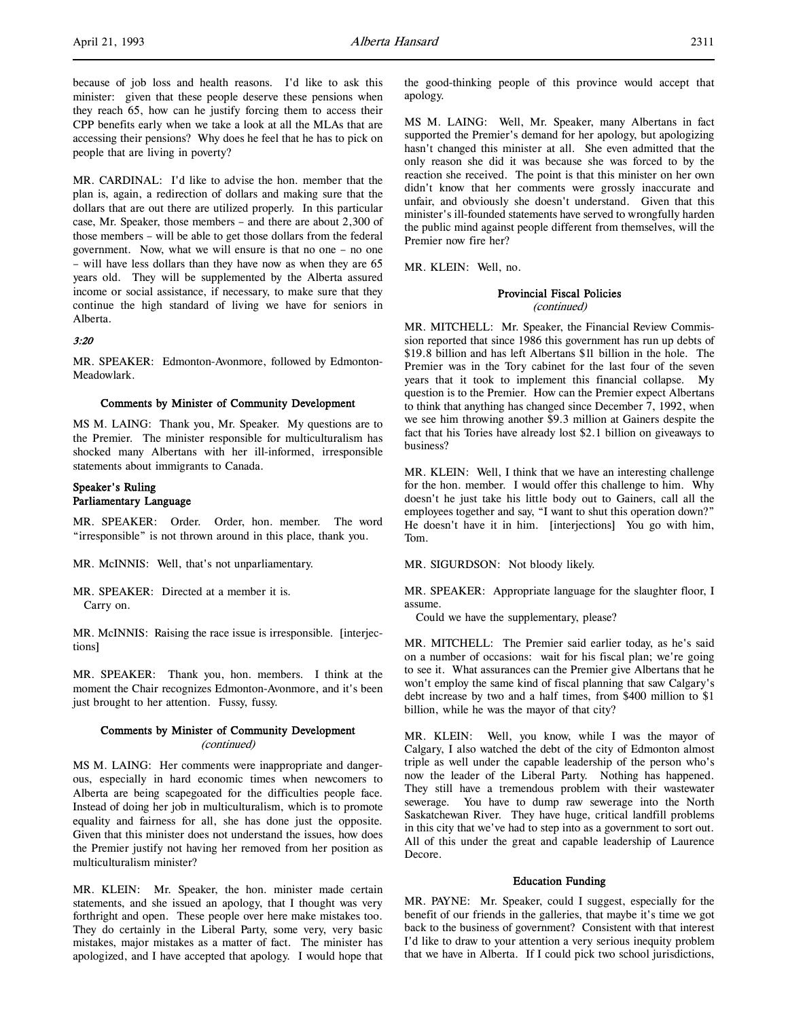because of job loss and health reasons. I'd like to ask this minister: given that these people deserve these pensions when they reach 65, how can he justify forcing them to access their CPP benefits early when we take a look at all the MLAs that are accessing their pensions? Why does he feel that he has to pick on people that are living in poverty?

MR. CARDINAL: I'd like to advise the hon. member that the plan is, again, a redirection of dollars and making sure that the dollars that are out there are utilized properly. In this particular case, Mr. Speaker, those members – and there are about 2,300 of those members – will be able to get those dollars from the federal government. Now, what we will ensure is that no one – no one – will have less dollars than they have now as when they are 65 years old. They will be supplemented by the Alberta assured income or social assistance, if necessary, to make sure that they continue the high standard of living we have for seniors in Alberta.

# 3:20

MR. SPEAKER: Edmonton-Avonmore, followed by Edmonton-Meadowlark.

### Comments by Minister of Community Development

MS M. LAING: Thank you, Mr. Speaker. My questions are to the Premier. The minister responsible for multiculturalism has shocked many Albertans with her ill-informed, irresponsible statements about immigrants to Canada.

# Speaker's Ruling Parliamentary Language

MR. SPEAKER: Order. Order, hon. member. The word "irresponsible" is not thrown around in this place, thank you.

MR. McINNIS: Well, that's not unparliamentary.

MR. SPEAKER: Directed at a member it is. Carry on.

MR. McINNIS: Raising the race issue is irresponsible. [interjections]

MR. SPEAKER: Thank you, hon. members. I think at the moment the Chair recognizes Edmonton-Avonmore, and it's been just brought to her attention. Fussy, fussy.

# Comments by Minister of Community Development (continued)

MS M. LAING: Her comments were inappropriate and dangerous, especially in hard economic times when newcomers to Alberta are being scapegoated for the difficulties people face. Instead of doing her job in multiculturalism, which is to promote equality and fairness for all, she has done just the opposite. Given that this minister does not understand the issues, how does the Premier justify not having her removed from her position as multiculturalism minister?

MR. KLEIN: Mr. Speaker, the hon. minister made certain statements, and she issued an apology, that I thought was very forthright and open. These people over here make mistakes too. They do certainly in the Liberal Party, some very, very basic mistakes, major mistakes as a matter of fact. The minister has apologized, and I have accepted that apology. I would hope that the good-thinking people of this province would accept that apology.

MS M. LAING: Well, Mr. Speaker, many Albertans in fact supported the Premier's demand for her apology, but apologizing hasn't changed this minister at all. She even admitted that the only reason she did it was because she was forced to by the reaction she received. The point is that this minister on her own didn't know that her comments were grossly inaccurate and unfair, and obviously she doesn't understand. Given that this minister's ill-founded statements have served to wrongfully harden the public mind against people different from themselves, will the Premier now fire her?

MR. KLEIN: Well, no.

#### Provincial Fiscal Policies (continued)

MR. MITCHELL: Mr. Speaker, the Financial Review Commission reported that since 1986 this government has run up debts of \$19.8 billion and has left Albertans \$11 billion in the hole. The Premier was in the Tory cabinet for the last four of the seven years that it took to implement this financial collapse. My question is to the Premier. How can the Premier expect Albertans to think that anything has changed since December 7, 1992, when we see him throwing another \$9.3 million at Gainers despite the fact that his Tories have already lost \$2.1 billion on giveaways to business?

MR. KLEIN: Well, I think that we have an interesting challenge for the hon. member. I would offer this challenge to him. Why doesn't he just take his little body out to Gainers, call all the employees together and say, "I want to shut this operation down?" He doesn't have it in him. [interjections] You go with him, Tom.

MR. SIGURDSON: Not bloody likely.

MR. SPEAKER: Appropriate language for the slaughter floor, I assume.

Could we have the supplementary, please?

MR. MITCHELL: The Premier said earlier today, as he's said on a number of occasions: wait for his fiscal plan; we're going to see it. What assurances can the Premier give Albertans that he won't employ the same kind of fiscal planning that saw Calgary's debt increase by two and a half times, from \$400 million to \$1 billion, while he was the mayor of that city?

MR. KLEIN: Well, you know, while I was the mayor of Calgary, I also watched the debt of the city of Edmonton almost triple as well under the capable leadership of the person who's now the leader of the Liberal Party. Nothing has happened. They still have a tremendous problem with their wastewater sewerage. You have to dump raw sewerage into the North Saskatchewan River. They have huge, critical landfill problems in this city that we've had to step into as a government to sort out. All of this under the great and capable leadership of Laurence Decore.

#### Education Funding

MR. PAYNE: Mr. Speaker, could I suggest, especially for the benefit of our friends in the galleries, that maybe it's time we got back to the business of government? Consistent with that interest I'd like to draw to your attention a very serious inequity problem that we have in Alberta. If I could pick two school jurisdictions,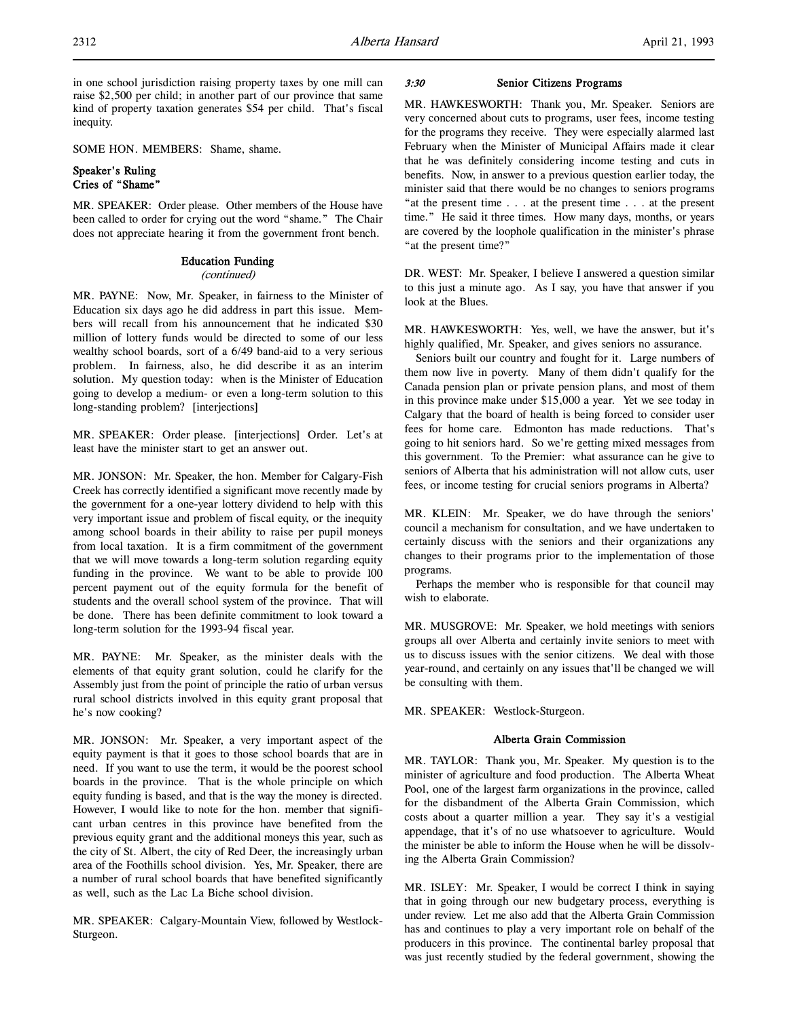in one school jurisdiction raising property taxes by one mill can raise \$2,500 per child; in another part of our province that same kind of property taxation generates \$54 per child. That's fiscal inequity.

SOME HON. MEMBERS: Shame, shame.

# Speaker's Ruling Cries of "Shame"

MR. SPEAKER: Order please. Other members of the House have been called to order for crying out the word "shame." The Chair does not appreciate hearing it from the government front bench.

# Education Funding

#### (continued)

MR. PAYNE: Now, Mr. Speaker, in fairness to the Minister of Education six days ago he did address in part this issue. Members will recall from his announcement that he indicated \$30 million of lottery funds would be directed to some of our less wealthy school boards, sort of a 6/49 band-aid to a very serious problem. In fairness, also, he did describe it as an interim solution. My question today: when is the Minister of Education going to develop a medium- or even a long-term solution to this long-standing problem? [interjections]

MR. SPEAKER: Order please. [interjections] Order. Let's at least have the minister start to get an answer out.

MR. JONSON: Mr. Speaker, the hon. Member for Calgary-Fish Creek has correctly identified a significant move recently made by the government for a one-year lottery dividend to help with this very important issue and problem of fiscal equity, or the inequity among school boards in their ability to raise per pupil moneys from local taxation. It is a firm commitment of the government that we will move towards a long-term solution regarding equity funding in the province. We want to be able to provide 100 percent payment out of the equity formula for the benefit of students and the overall school system of the province. That will be done. There has been definite commitment to look toward a long-term solution for the 1993-94 fiscal year.

MR. PAYNE: Mr. Speaker, as the minister deals with the elements of that equity grant solution, could he clarify for the Assembly just from the point of principle the ratio of urban versus rural school districts involved in this equity grant proposal that he's now cooking?

MR. JONSON: Mr. Speaker, a very important aspect of the equity payment is that it goes to those school boards that are in need. If you want to use the term, it would be the poorest school boards in the province. That is the whole principle on which equity funding is based, and that is the way the money is directed. However, I would like to note for the hon. member that significant urban centres in this province have benefited from the previous equity grant and the additional moneys this year, such as the city of St. Albert, the city of Red Deer, the increasingly urban area of the Foothills school division. Yes, Mr. Speaker, there are a number of rural school boards that have benefited significantly as well, such as the Lac La Biche school division.

MR. SPEAKER: Calgary-Mountain View, followed by Westlock-Sturgeon.

# 3:30 Senior Citizens Programs

MR. HAWKESWORTH: Thank you, Mr. Speaker. Seniors are very concerned about cuts to programs, user fees, income testing for the programs they receive. They were especially alarmed last February when the Minister of Municipal Affairs made it clear that he was definitely considering income testing and cuts in benefits. Now, in answer to a previous question earlier today, the minister said that there would be no changes to seniors programs "at the present time . . . at the present time . . . at the present time." He said it three times. How many days, months, or years are covered by the loophole qualification in the minister's phrase "at the present time?"

DR. WEST: Mr. Speaker, I believe I answered a question similar to this just a minute ago. As I say, you have that answer if you look at the Blues.

MR. HAWKESWORTH: Yes, well, we have the answer, but it's highly qualified, Mr. Speaker, and gives seniors no assurance.

Seniors built our country and fought for it. Large numbers of them now live in poverty. Many of them didn't qualify for the Canada pension plan or private pension plans, and most of them in this province make under \$15,000 a year. Yet we see today in Calgary that the board of health is being forced to consider user fees for home care. Edmonton has made reductions. That's going to hit seniors hard. So we're getting mixed messages from this government. To the Premier: what assurance can he give to seniors of Alberta that his administration will not allow cuts, user fees, or income testing for crucial seniors programs in Alberta?

MR. KLEIN: Mr. Speaker, we do have through the seniors' council a mechanism for consultation, and we have undertaken to certainly discuss with the seniors and their organizations any changes to their programs prior to the implementation of those programs.

Perhaps the member who is responsible for that council may wish to elaborate.

MR. MUSGROVE: Mr. Speaker, we hold meetings with seniors groups all over Alberta and certainly invite seniors to meet with us to discuss issues with the senior citizens. We deal with those year-round, and certainly on any issues that'll be changed we will be consulting with them.

MR. SPEAKER: Westlock-Sturgeon.

# Alberta Grain Commission

MR. TAYLOR: Thank you, Mr. Speaker. My question is to the minister of agriculture and food production. The Alberta Wheat Pool, one of the largest farm organizations in the province, called for the disbandment of the Alberta Grain Commission, which costs about a quarter million a year. They say it's a vestigial appendage, that it's of no use whatsoever to agriculture. Would the minister be able to inform the House when he will be dissolving the Alberta Grain Commission?

MR. ISLEY: Mr. Speaker, I would be correct I think in saying that in going through our new budgetary process, everything is under review. Let me also add that the Alberta Grain Commission has and continues to play a very important role on behalf of the producers in this province. The continental barley proposal that was just recently studied by the federal government, showing the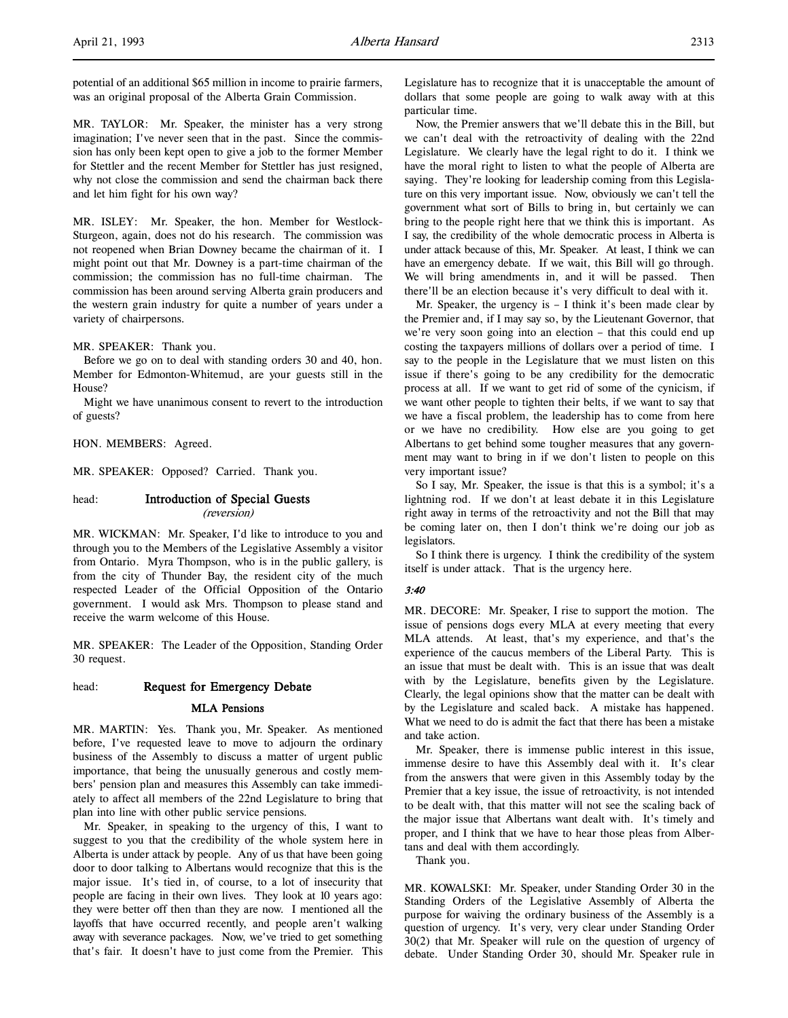potential of an additional \$65 million in income to prairie farmers, was an original proposal of the Alberta Grain Commission.

MR. TAYLOR: Mr. Speaker, the minister has a very strong imagination; I've never seen that in the past. Since the commission has only been kept open to give a job to the former Member for Stettler and the recent Member for Stettler has just resigned, why not close the commission and send the chairman back there and let him fight for his own way?

MR. ISLEY: Mr. Speaker, the hon. Member for Westlock-Sturgeon, again, does not do his research. The commission was not reopened when Brian Downey became the chairman of it. I might point out that Mr. Downey is a part-time chairman of the commission; the commission has no full-time chairman. The commission has been around serving Alberta grain producers and the western grain industry for quite a number of years under a variety of chairpersons.

MR. SPEAKER: Thank you.

Before we go on to deal with standing orders 30 and 40, hon. Member for Edmonton-Whitemud, are your guests still in the House?

Might we have unanimous consent to revert to the introduction of guests?

HON. MEMBERS: Agreed.

MR. SPEAKER: Opposed? Carried. Thank you.

# head: Introduction of Special Guests (reversion)

MR. WICKMAN: Mr. Speaker, I'd like to introduce to you and through you to the Members of the Legislative Assembly a visitor from Ontario. Myra Thompson, who is in the public gallery, is from the city of Thunder Bay, the resident city of the much respected Leader of the Official Opposition of the Ontario government. I would ask Mrs. Thompson to please stand and receive the warm welcome of this House.

MR. SPEAKER: The Leader of the Opposition, Standing Order 30 request.

# head: Request for Emergency Debate

#### MLA Pensions

MR. MARTIN: Yes. Thank you, Mr. Speaker. As mentioned before, I've requested leave to move to adjourn the ordinary business of the Assembly to discuss a matter of urgent public importance, that being the unusually generous and costly members' pension plan and measures this Assembly can take immediately to affect all members of the 22nd Legislature to bring that plan into line with other public service pensions.

Mr. Speaker, in speaking to the urgency of this, I want to suggest to you that the credibility of the whole system here in Alberta is under attack by people. Any of us that have been going door to door talking to Albertans would recognize that this is the major issue. It's tied in, of course, to a lot of insecurity that people are facing in their own lives. They look at 10 years ago: they were better off then than they are now. I mentioned all the layoffs that have occurred recently, and people aren't walking away with severance packages. Now, we've tried to get something that's fair. It doesn't have to just come from the Premier. This Legislature has to recognize that it is unacceptable the amount of dollars that some people are going to walk away with at this particular time.

Now, the Premier answers that we'll debate this in the Bill, but we can't deal with the retroactivity of dealing with the 22nd Legislature. We clearly have the legal right to do it. I think we have the moral right to listen to what the people of Alberta are saying. They're looking for leadership coming from this Legislature on this very important issue. Now, obviously we can't tell the government what sort of Bills to bring in, but certainly we can bring to the people right here that we think this is important. As I say, the credibility of the whole democratic process in Alberta is under attack because of this, Mr. Speaker. At least, I think we can have an emergency debate. If we wait, this Bill will go through. We will bring amendments in, and it will be passed. Then there'll be an election because it's very difficult to deal with it.

Mr. Speaker, the urgency is  $-$  I think it's been made clear by the Premier and, if I may say so, by the Lieutenant Governor, that we're very soon going into an election – that this could end up costing the taxpayers millions of dollars over a period of time. I say to the people in the Legislature that we must listen on this issue if there's going to be any credibility for the democratic process at all. If we want to get rid of some of the cynicism, if we want other people to tighten their belts, if we want to say that we have a fiscal problem, the leadership has to come from here or we have no credibility. How else are you going to get Albertans to get behind some tougher measures that any government may want to bring in if we don't listen to people on this very important issue?

So I say, Mr. Speaker, the issue is that this is a symbol; it's a lightning rod. If we don't at least debate it in this Legislature right away in terms of the retroactivity and not the Bill that may be coming later on, then I don't think we're doing our job as legislators.

So I think there is urgency. I think the credibility of the system itself is under attack. That is the urgency here.

#### 3:40

MR. DECORE: Mr. Speaker, I rise to support the motion. The issue of pensions dogs every MLA at every meeting that every MLA attends. At least, that's my experience, and that's the experience of the caucus members of the Liberal Party. This is an issue that must be dealt with. This is an issue that was dealt with by the Legislature, benefits given by the Legislature. Clearly, the legal opinions show that the matter can be dealt with by the Legislature and scaled back. A mistake has happened. What we need to do is admit the fact that there has been a mistake and take action.

Mr. Speaker, there is immense public interest in this issue, immense desire to have this Assembly deal with it. It's clear from the answers that were given in this Assembly today by the Premier that a key issue, the issue of retroactivity, is not intended to be dealt with, that this matter will not see the scaling back of the major issue that Albertans want dealt with. It's timely and proper, and I think that we have to hear those pleas from Albertans and deal with them accordingly.

Thank you.

MR. KOWALSKI: Mr. Speaker, under Standing Order 30 in the Standing Orders of the Legislative Assembly of Alberta the purpose for waiving the ordinary business of the Assembly is a question of urgency. It's very, very clear under Standing Order 30(2) that Mr. Speaker will rule on the question of urgency of debate. Under Standing Order 30, should Mr. Speaker rule in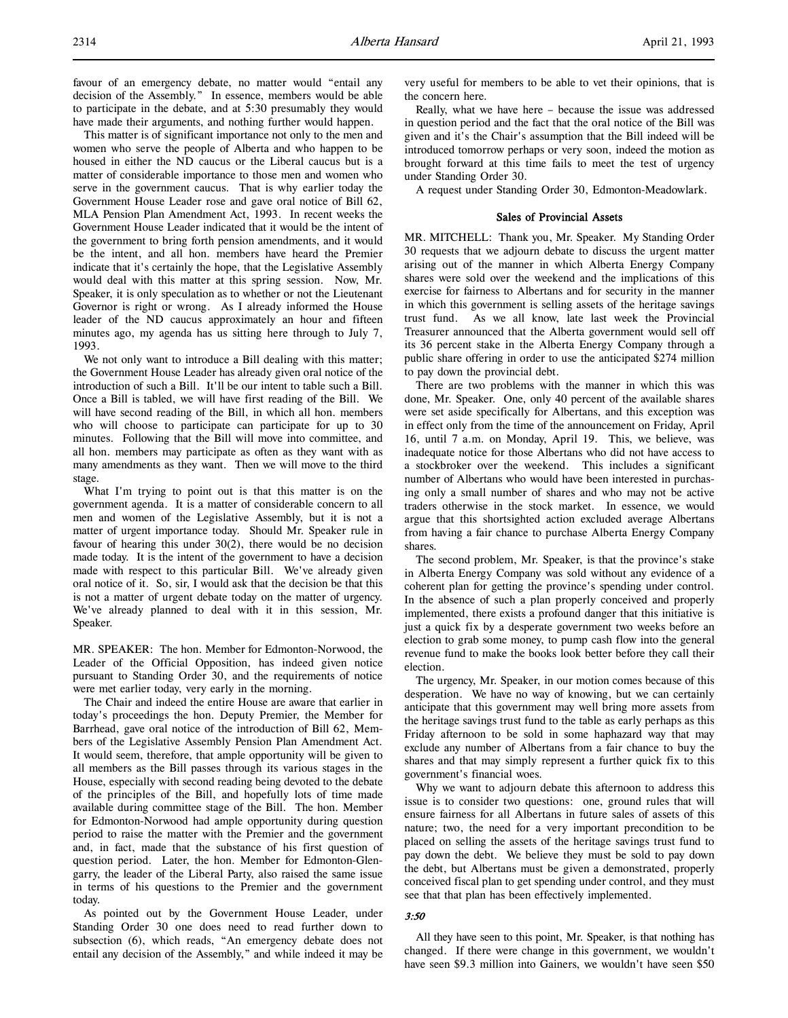This matter is of significant importance not only to the men and women who serve the people of Alberta and who happen to be housed in either the ND caucus or the Liberal caucus but is a matter of considerable importance to those men and women who serve in the government caucus. That is why earlier today the Government House Leader rose and gave oral notice of Bill 62, MLA Pension Plan Amendment Act, 1993. In recent weeks the Government House Leader indicated that it would be the intent of the government to bring forth pension amendments, and it would be the intent, and all hon. members have heard the Premier indicate that it's certainly the hope, that the Legislative Assembly would deal with this matter at this spring session. Now, Mr. Speaker, it is only speculation as to whether or not the Lieutenant Governor is right or wrong. As I already informed the House leader of the ND caucus approximately an hour and fifteen minutes ago, my agenda has us sitting here through to July 7, 1993.

We not only want to introduce a Bill dealing with this matter; the Government House Leader has already given oral notice of the introduction of such a Bill. It'll be our intent to table such a Bill. Once a Bill is tabled, we will have first reading of the Bill. We will have second reading of the Bill, in which all hon. members who will choose to participate can participate for up to 30 minutes. Following that the Bill will move into committee, and all hon. members may participate as often as they want with as many amendments as they want. Then we will move to the third stage.

What I'm trying to point out is that this matter is on the government agenda. It is a matter of considerable concern to all men and women of the Legislative Assembly, but it is not a matter of urgent importance today. Should Mr. Speaker rule in favour of hearing this under 30(2), there would be no decision made today. It is the intent of the government to have a decision made with respect to this particular Bill. We've already given oral notice of it. So, sir, I would ask that the decision be that this is not a matter of urgent debate today on the matter of urgency. We've already planned to deal with it in this session, Mr. Speaker.

MR. SPEAKER: The hon. Member for Edmonton-Norwood, the Leader of the Official Opposition, has indeed given notice pursuant to Standing Order 30, and the requirements of notice were met earlier today, very early in the morning.

The Chair and indeed the entire House are aware that earlier in today's proceedings the hon. Deputy Premier, the Member for Barrhead, gave oral notice of the introduction of Bill 62, Members of the Legislative Assembly Pension Plan Amendment Act. It would seem, therefore, that ample opportunity will be given to all members as the Bill passes through its various stages in the House, especially with second reading being devoted to the debate of the principles of the Bill, and hopefully lots of time made available during committee stage of the Bill. The hon. Member for Edmonton-Norwood had ample opportunity during question period to raise the matter with the Premier and the government and, in fact, made that the substance of his first question of question period. Later, the hon. Member for Edmonton-Glengarry, the leader of the Liberal Party, also raised the same issue in terms of his questions to the Premier and the government today.

As pointed out by the Government House Leader, under Standing Order 30 one does need to read further down to subsection (6), which reads, "An emergency debate does not entail any decision of the Assembly," and while indeed it may be very useful for members to be able to vet their opinions, that is the concern here.

Really, what we have here – because the issue was addressed in question period and the fact that the oral notice of the Bill was given and it's the Chair's assumption that the Bill indeed will be introduced tomorrow perhaps or very soon, indeed the motion as brought forward at this time fails to meet the test of urgency under Standing Order 30.

A request under Standing Order 30, Edmonton-Meadowlark.

#### Sales of Provincial Assets

MR. MITCHELL: Thank you, Mr. Speaker. My Standing Order 30 requests that we adjourn debate to discuss the urgent matter arising out of the manner in which Alberta Energy Company shares were sold over the weekend and the implications of this exercise for fairness to Albertans and for security in the manner in which this government is selling assets of the heritage savings trust fund. As we all know, late last week the Provincial Treasurer announced that the Alberta government would sell off its 36 percent stake in the Alberta Energy Company through a public share offering in order to use the anticipated \$274 million to pay down the provincial debt.

There are two problems with the manner in which this was done, Mr. Speaker. One, only 40 percent of the available shares were set aside specifically for Albertans, and this exception was in effect only from the time of the announcement on Friday, April 16, until 7 a.m. on Monday, April 19. This, we believe, was inadequate notice for those Albertans who did not have access to a stockbroker over the weekend. This includes a significant number of Albertans who would have been interested in purchasing only a small number of shares and who may not be active traders otherwise in the stock market. In essence, we would argue that this shortsighted action excluded average Albertans from having a fair chance to purchase Alberta Energy Company shares.

The second problem, Mr. Speaker, is that the province's stake in Alberta Energy Company was sold without any evidence of a coherent plan for getting the province's spending under control. In the absence of such a plan properly conceived and properly implemented, there exists a profound danger that this initiative is just a quick fix by a desperate government two weeks before an election to grab some money, to pump cash flow into the general revenue fund to make the books look better before they call their election.

The urgency, Mr. Speaker, in our motion comes because of this desperation. We have no way of knowing, but we can certainly anticipate that this government may well bring more assets from the heritage savings trust fund to the table as early perhaps as this Friday afternoon to be sold in some haphazard way that may exclude any number of Albertans from a fair chance to buy the shares and that may simply represent a further quick fix to this government's financial woes.

Why we want to adjourn debate this afternoon to address this issue is to consider two questions: one, ground rules that will ensure fairness for all Albertans in future sales of assets of this nature; two, the need for a very important precondition to be placed on selling the assets of the heritage savings trust fund to pay down the debt. We believe they must be sold to pay down the debt, but Albertans must be given a demonstrated, properly conceived fiscal plan to get spending under control, and they must see that that plan has been effectively implemented.

#### 3:50

All they have seen to this point, Mr. Speaker, is that nothing has changed. If there were change in this government, we wouldn't have seen \$9.3 million into Gainers, we wouldn't have seen \$50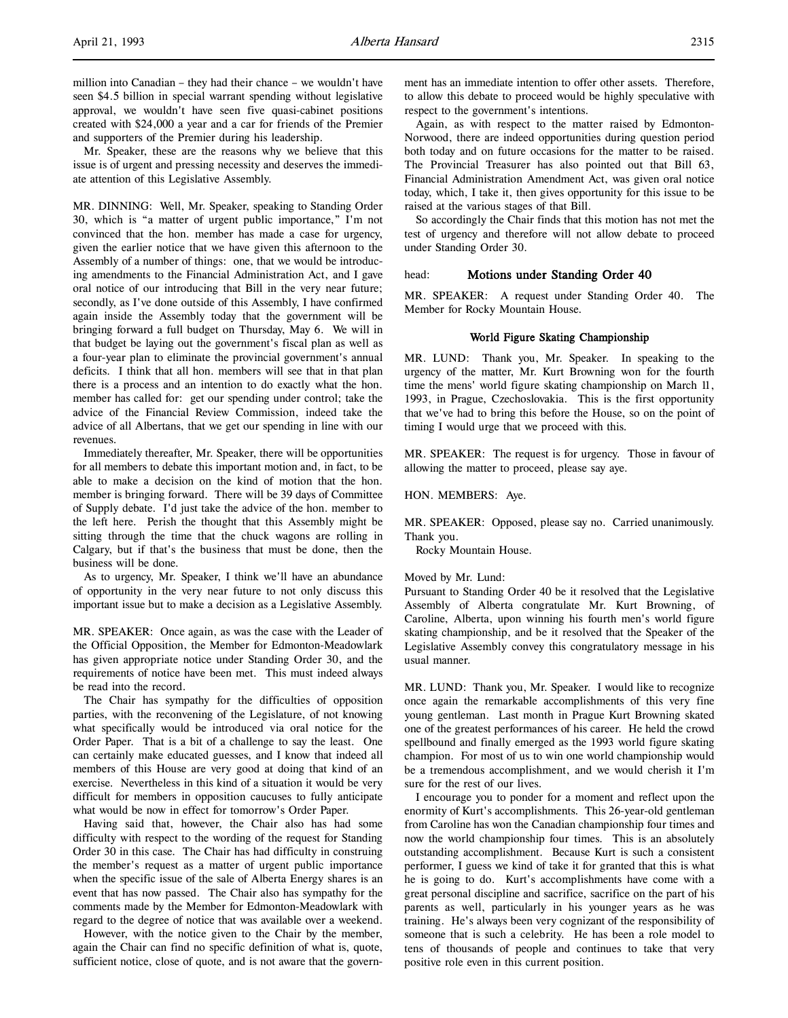million into Canadian – they had their chance – we wouldn't have seen \$4.5 billion in special warrant spending without legislative approval, we wouldn't have seen five quasi-cabinet positions created with \$24,000 a year and a car for friends of the Premier and supporters of the Premier during his leadership.

Mr. Speaker, these are the reasons why we believe that this issue is of urgent and pressing necessity and deserves the immediate attention of this Legislative Assembly.

MR. DINNING: Well, Mr. Speaker, speaking to Standing Order 30, which is "a matter of urgent public importance," I'm not convinced that the hon. member has made a case for urgency, given the earlier notice that we have given this afternoon to the Assembly of a number of things: one, that we would be introducing amendments to the Financial Administration Act, and I gave oral notice of our introducing that Bill in the very near future; secondly, as I've done outside of this Assembly, I have confirmed again inside the Assembly today that the government will be bringing forward a full budget on Thursday, May 6. We will in that budget be laying out the government's fiscal plan as well as a four-year plan to eliminate the provincial government's annual deficits. I think that all hon. members will see that in that plan there is a process and an intention to do exactly what the hon. member has called for: get our spending under control; take the advice of the Financial Review Commission, indeed take the advice of all Albertans, that we get our spending in line with our revenues.

Immediately thereafter, Mr. Speaker, there will be opportunities for all members to debate this important motion and, in fact, to be able to make a decision on the kind of motion that the hon. member is bringing forward. There will be 39 days of Committee of Supply debate. I'd just take the advice of the hon. member to the left here. Perish the thought that this Assembly might be sitting through the time that the chuck wagons are rolling in Calgary, but if that's the business that must be done, then the business will be done.

As to urgency, Mr. Speaker, I think we'll have an abundance of opportunity in the very near future to not only discuss this important issue but to make a decision as a Legislative Assembly.

MR. SPEAKER: Once again, as was the case with the Leader of the Official Opposition, the Member for Edmonton-Meadowlark has given appropriate notice under Standing Order 30, and the requirements of notice have been met. This must indeed always be read into the record.

The Chair has sympathy for the difficulties of opposition parties, with the reconvening of the Legislature, of not knowing what specifically would be introduced via oral notice for the Order Paper. That is a bit of a challenge to say the least. One can certainly make educated guesses, and I know that indeed all members of this House are very good at doing that kind of an exercise. Nevertheless in this kind of a situation it would be very difficult for members in opposition caucuses to fully anticipate what would be now in effect for tomorrow's Order Paper.

Having said that, however, the Chair also has had some difficulty with respect to the wording of the request for Standing Order 30 in this case. The Chair has had difficulty in construing the member's request as a matter of urgent public importance when the specific issue of the sale of Alberta Energy shares is an event that has now passed. The Chair also has sympathy for the comments made by the Member for Edmonton-Meadowlark with regard to the degree of notice that was available over a weekend.

However, with the notice given to the Chair by the member, again the Chair can find no specific definition of what is, quote, sufficient notice, close of quote, and is not aware that the govern-

Again, as with respect to the matter raised by Edmonton-Norwood, there are indeed opportunities during question period both today and on future occasions for the matter to be raised. The Provincial Treasurer has also pointed out that Bill 63, Financial Administration Amendment Act, was given oral notice today, which, I take it, then gives opportunity for this issue to be raised at the various stages of that Bill.

So accordingly the Chair finds that this motion has not met the test of urgency and therefore will not allow debate to proceed under Standing Order 30.

# head: Motions under Standing Order 40

MR. SPEAKER: A request under Standing Order 40. The Member for Rocky Mountain House.

# World Figure Skating Championship

MR. LUND: Thank you, Mr. Speaker. In speaking to the urgency of the matter, Mr. Kurt Browning won for the fourth time the mens' world figure skating championship on March 11, 1993, in Prague, Czechoslovakia. This is the first opportunity that we've had to bring this before the House, so on the point of timing I would urge that we proceed with this.

MR. SPEAKER: The request is for urgency. Those in favour of allowing the matter to proceed, please say aye.

#### HON. MEMBERS: Aye.

MR. SPEAKER: Opposed, please say no. Carried unanimously. Thank you.

Rocky Mountain House.

#### Moved by Mr. Lund:

Pursuant to Standing Order 40 be it resolved that the Legislative Assembly of Alberta congratulate Mr. Kurt Browning, of Caroline, Alberta, upon winning his fourth men's world figure skating championship, and be it resolved that the Speaker of the Legislative Assembly convey this congratulatory message in his usual manner.

MR. LUND: Thank you, Mr. Speaker. I would like to recognize once again the remarkable accomplishments of this very fine young gentleman. Last month in Prague Kurt Browning skated one of the greatest performances of his career. He held the crowd spellbound and finally emerged as the 1993 world figure skating champion. For most of us to win one world championship would be a tremendous accomplishment, and we would cherish it I'm sure for the rest of our lives.

I encourage you to ponder for a moment and reflect upon the enormity of Kurt's accomplishments. This 26-year-old gentleman from Caroline has won the Canadian championship four times and now the world championship four times. This is an absolutely outstanding accomplishment. Because Kurt is such a consistent performer, I guess we kind of take it for granted that this is what he is going to do. Kurt's accomplishments have come with a great personal discipline and sacrifice, sacrifice on the part of his parents as well, particularly in his younger years as he was training. He's always been very cognizant of the responsibility of someone that is such a celebrity. He has been a role model to tens of thousands of people and continues to take that very positive role even in this current position.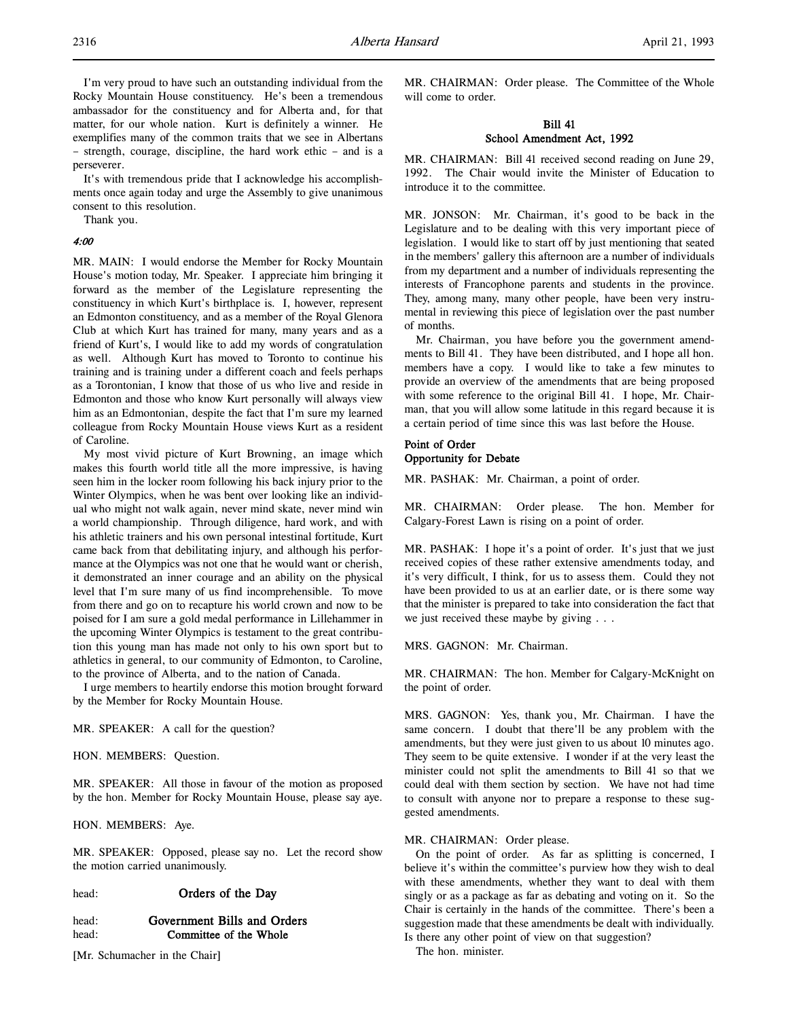I'm very proud to have such an outstanding individual from the Rocky Mountain House constituency. He's been a tremendous ambassador for the constituency and for Alberta and, for that matter, for our whole nation. Kurt is definitely a winner. He exemplifies many of the common traits that we see in Albertans – strength, courage, discipline, the hard work ethic – and is a perseverer.

It's with tremendous pride that I acknowledge his accomplishments once again today and urge the Assembly to give unanimous consent to this resolution.

Thank you.

4:00

MR. MAIN: I would endorse the Member for Rocky Mountain House's motion today, Mr. Speaker. I appreciate him bringing it forward as the member of the Legislature representing the constituency in which Kurt's birthplace is. I, however, represent an Edmonton constituency, and as a member of the Royal Glenora Club at which Kurt has trained for many, many years and as a friend of Kurt's, I would like to add my words of congratulation as well. Although Kurt has moved to Toronto to continue his training and is training under a different coach and feels perhaps as a Torontonian, I know that those of us who live and reside in Edmonton and those who know Kurt personally will always view him as an Edmontonian, despite the fact that I'm sure my learned colleague from Rocky Mountain House views Kurt as a resident of Caroline.

My most vivid picture of Kurt Browning, an image which makes this fourth world title all the more impressive, is having seen him in the locker room following his back injury prior to the Winter Olympics, when he was bent over looking like an individual who might not walk again, never mind skate, never mind win a world championship. Through diligence, hard work, and with his athletic trainers and his own personal intestinal fortitude, Kurt came back from that debilitating injury, and although his performance at the Olympics was not one that he would want or cherish, it demonstrated an inner courage and an ability on the physical level that I'm sure many of us find incomprehensible. To move from there and go on to recapture his world crown and now to be poised for I am sure a gold medal performance in Lillehammer in the upcoming Winter Olympics is testament to the great contribution this young man has made not only to his own sport but to athletics in general, to our community of Edmonton, to Caroline, to the province of Alberta, and to the nation of Canada.

I urge members to heartily endorse this motion brought forward by the Member for Rocky Mountain House.

MR. SPEAKER: A call for the question?

HON. MEMBERS: Question.

MR. SPEAKER: All those in favour of the motion as proposed by the hon. Member for Rocky Mountain House, please say aye.

HON. MEMBERS: Aye.

MR. SPEAKER: Opposed, please say no. Let the record show the motion carried unanimously.

head: **Orders of the Day** 

# head: Government Bills and Orders head: Committee of the Whole

[Mr. Schumacher in the Chair]

MR. CHAIRMAN: Order please. The Committee of the Whole will come to order.

# Bill 41 School Amendment Act, 1992

MR. CHAIRMAN: Bill 41 received second reading on June 29, 1992. The Chair would invite the Minister of Education to introduce it to the committee.

MR. JONSON: Mr. Chairman, it's good to be back in the Legislature and to be dealing with this very important piece of legislation. I would like to start off by just mentioning that seated in the members' gallery this afternoon are a number of individuals from my department and a number of individuals representing the interests of Francophone parents and students in the province. They, among many, many other people, have been very instrumental in reviewing this piece of legislation over the past number of months.

Mr. Chairman, you have before you the government amendments to Bill 41. They have been distributed, and I hope all hon. members have a copy. I would like to take a few minutes to provide an overview of the amendments that are being proposed with some reference to the original Bill 41. I hope, Mr. Chairman, that you will allow some latitude in this regard because it is a certain period of time since this was last before the House.

# Point of Order Opportunity for Debate

MR. PASHAK: Mr. Chairman, a point of order.

MR. CHAIRMAN: Order please. The hon. Member for Calgary-Forest Lawn is rising on a point of order.

MR. PASHAK: I hope it's a point of order. It's just that we just received copies of these rather extensive amendments today, and it's very difficult, I think, for us to assess them. Could they not have been provided to us at an earlier date, or is there some way that the minister is prepared to take into consideration the fact that we just received these maybe by giving . . .

MRS. GAGNON: Mr. Chairman.

MR. CHAIRMAN: The hon. Member for Calgary-McKnight on the point of order.

MRS. GAGNON: Yes, thank you, Mr. Chairman. I have the same concern. I doubt that there'll be any problem with the amendments, but they were just given to us about 10 minutes ago. They seem to be quite extensive. I wonder if at the very least the minister could not split the amendments to Bill 41 so that we could deal with them section by section. We have not had time to consult with anyone nor to prepare a response to these suggested amendments.

# MR. CHAIRMAN: Order please.

On the point of order. As far as splitting is concerned, I believe it's within the committee's purview how they wish to deal with these amendments, whether they want to deal with them singly or as a package as far as debating and voting on it. So the Chair is certainly in the hands of the committee. There's been a suggestion made that these amendments be dealt with individually. Is there any other point of view on that suggestion?

The hon. minister.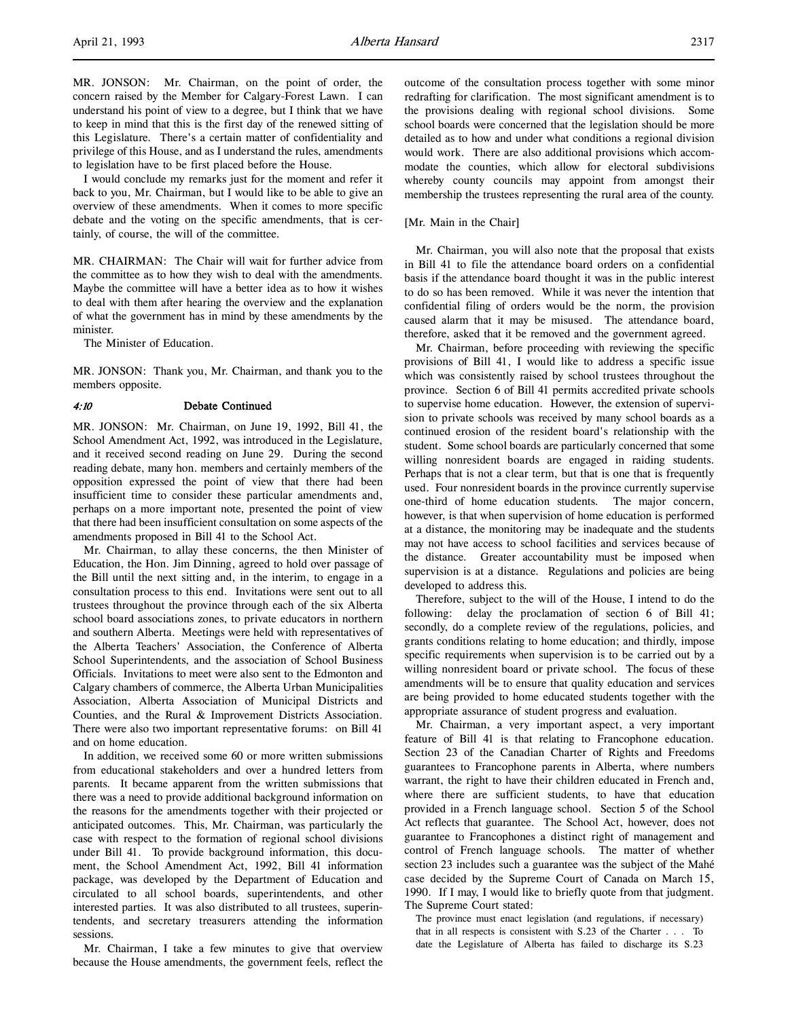MR. JONSON: Mr. Chairman, on the point of order, the concern raised by the Member for Calgary-Forest Lawn. I can understand his point of view to a degree, but I think that we have to keep in mind that this is the first day of the renewed sitting of this Legislature. There's a certain matter of confidentiality and privilege of this House, and as I understand the rules, amendments to legislation have to be first placed before the House.

I would conclude my remarks just for the moment and refer it back to you, Mr. Chairman, but I would like to be able to give an overview of these amendments. When it comes to more specific debate and the voting on the specific amendments, that is certainly, of course, the will of the committee.

MR. CHAIRMAN: The Chair will wait for further advice from the committee as to how they wish to deal with the amendments. Maybe the committee will have a better idea as to how it wishes to deal with them after hearing the overview and the explanation of what the government has in mind by these amendments by the minister.

The Minister of Education.

MR. JONSON: Thank you, Mr. Chairman, and thank you to the members opposite.

#### 4:10 Debate Continued

MR. JONSON: Mr. Chairman, on June 19, 1992, Bill 41, the School Amendment Act, 1992, was introduced in the Legislature, and it received second reading on June 29. During the second reading debate, many hon. members and certainly members of the opposition expressed the point of view that there had been insufficient time to consider these particular amendments and, perhaps on a more important note, presented the point of view that there had been insufficient consultation on some aspects of the amendments proposed in Bill 41 to the School Act.

Mr. Chairman, to allay these concerns, the then Minister of Education, the Hon. Jim Dinning, agreed to hold over passage of the Bill until the next sitting and, in the interim, to engage in a consultation process to this end. Invitations were sent out to all trustees throughout the province through each of the six Alberta school board associations zones, to private educators in northern and southern Alberta. Meetings were held with representatives of the Alberta Teachers' Association, the Conference of Alberta School Superintendents, and the association of School Business Officials. Invitations to meet were also sent to the Edmonton and Calgary chambers of commerce, the Alberta Urban Municipalities Association, Alberta Association of Municipal Districts and Counties, and the Rural & Improvement Districts Association. There were also two important representative forums: on Bill 41 and on home education.

In addition, we received some 60 or more written submissions from educational stakeholders and over a hundred letters from parents. It became apparent from the written submissions that there was a need to provide additional background information on the reasons for the amendments together with their projected or anticipated outcomes. This, Mr. Chairman, was particularly the case with respect to the formation of regional school divisions under Bill 41. To provide background information, this document, the School Amendment Act, 1992, Bill 41 information package, was developed by the Department of Education and circulated to all school boards, superintendents, and other interested parties. It was also distributed to all trustees, superintendents, and secretary treasurers attending the information sessions.

Mr. Chairman, I take a few minutes to give that overview because the House amendments, the government feels, reflect the outcome of the consultation process together with some minor redrafting for clarification. The most significant amendment is to the provisions dealing with regional school divisions. Some school boards were concerned that the legislation should be more detailed as to how and under what conditions a regional division would work. There are also additional provisions which accommodate the counties, which allow for electoral subdivisions whereby county councils may appoint from amongst their membership the trustees representing the rural area of the county.

#### [Mr. Main in the Chair]

Mr. Chairman, you will also note that the proposal that exists in Bill 41 to file the attendance board orders on a confidential basis if the attendance board thought it was in the public interest to do so has been removed. While it was never the intention that confidential filing of orders would be the norm, the provision caused alarm that it may be misused. The attendance board, therefore, asked that it be removed and the government agreed.

Mr. Chairman, before proceeding with reviewing the specific provisions of Bill 41, I would like to address a specific issue which was consistently raised by school trustees throughout the province. Section 6 of Bill 41 permits accredited private schools to supervise home education. However, the extension of supervision to private schools was received by many school boards as a continued erosion of the resident board's relationship with the student. Some school boards are particularly concerned that some willing nonresident boards are engaged in raiding students. Perhaps that is not a clear term, but that is one that is frequently used. Four nonresident boards in the province currently supervise one-third of home education students. The major concern, however, is that when supervision of home education is performed at a distance, the monitoring may be inadequate and the students may not have access to school facilities and services because of the distance. Greater accountability must be imposed when supervision is at a distance. Regulations and policies are being developed to address this.

Therefore, subject to the will of the House, I intend to do the following: delay the proclamation of section 6 of Bill 41; secondly, do a complete review of the regulations, policies, and grants conditions relating to home education; and thirdly, impose specific requirements when supervision is to be carried out by a willing nonresident board or private school. The focus of these amendments will be to ensure that quality education and services are being provided to home educated students together with the appropriate assurance of student progress and evaluation.

Mr. Chairman, a very important aspect, a very important feature of Bill 41 is that relating to Francophone education. Section 23 of the Canadian Charter of Rights and Freedoms guarantees to Francophone parents in Alberta, where numbers warrant, the right to have their children educated in French and, where there are sufficient students, to have that education provided in a French language school. Section 5 of the School Act reflects that guarantee. The School Act, however, does not guarantee to Francophones a distinct right of management and control of French language schools. The matter of whether section 23 includes such a guarantee was the subject of the Mahé case decided by the Supreme Court of Canada on March 15, 1990. If I may, I would like to briefly quote from that judgment. The Supreme Court stated:

The province must enact legislation (and regulations, if necessary) that in all respects is consistent with S.23 of the Charter . . . To date the Legislature of Alberta has failed to discharge its S.23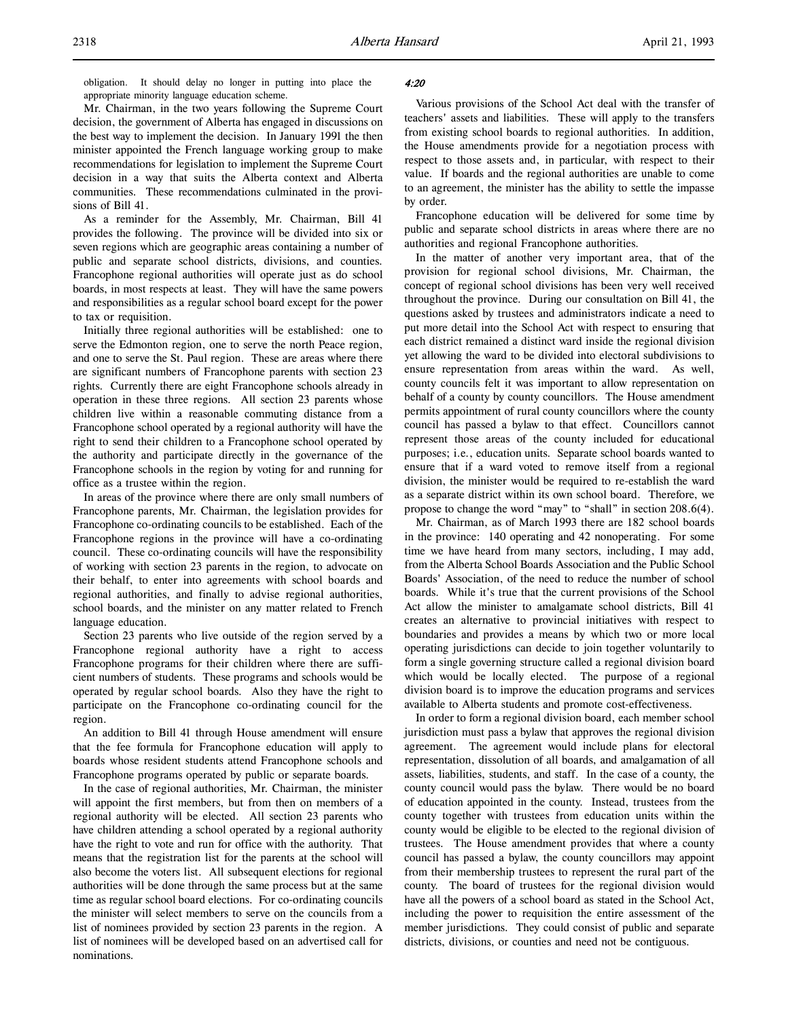Mr. Chairman, in the two years following the Supreme Court decision, the government of Alberta has engaged in discussions on the best way to implement the decision. In January 1991 the then minister appointed the French language working group to make recommendations for legislation to implement the Supreme Court decision in a way that suits the Alberta context and Alberta communities. These recommendations culminated in the provisions of Bill 41.

As a reminder for the Assembly, Mr. Chairman, Bill 41 provides the following. The province will be divided into six or seven regions which are geographic areas containing a number of public and separate school districts, divisions, and counties. Francophone regional authorities will operate just as do school boards, in most respects at least. They will have the same powers and responsibilities as a regular school board except for the power to tax or requisition.

Initially three regional authorities will be established: one to serve the Edmonton region, one to serve the north Peace region, and one to serve the St. Paul region. These are areas where there are significant numbers of Francophone parents with section 23 rights. Currently there are eight Francophone schools already in operation in these three regions. All section 23 parents whose children live within a reasonable commuting distance from a Francophone school operated by a regional authority will have the right to send their children to a Francophone school operated by the authority and participate directly in the governance of the Francophone schools in the region by voting for and running for office as a trustee within the region.

In areas of the province where there are only small numbers of Francophone parents, Mr. Chairman, the legislation provides for Francophone co-ordinating councils to be established. Each of the Francophone regions in the province will have a co-ordinating council. These co-ordinating councils will have the responsibility of working with section 23 parents in the region, to advocate on their behalf, to enter into agreements with school boards and regional authorities, and finally to advise regional authorities, school boards, and the minister on any matter related to French language education.

Section 23 parents who live outside of the region served by a Francophone regional authority have a right to access Francophone programs for their children where there are sufficient numbers of students. These programs and schools would be operated by regular school boards. Also they have the right to participate on the Francophone co-ordinating council for the region.

An addition to Bill 41 through House amendment will ensure that the fee formula for Francophone education will apply to boards whose resident students attend Francophone schools and Francophone programs operated by public or separate boards.

In the case of regional authorities, Mr. Chairman, the minister will appoint the first members, but from then on members of a regional authority will be elected. All section 23 parents who have children attending a school operated by a regional authority have the right to vote and run for office with the authority. That means that the registration list for the parents at the school will also become the voters list. All subsequent elections for regional authorities will be done through the same process but at the same time as regular school board elections. For co-ordinating councils the minister will select members to serve on the councils from a list of nominees provided by section 23 parents in the region. A list of nominees will be developed based on an advertised call for nominations.

# 4:20

Various provisions of the School Act deal with the transfer of teachers' assets and liabilities. These will apply to the transfers from existing school boards to regional authorities. In addition, the House amendments provide for a negotiation process with respect to those assets and, in particular, with respect to their value. If boards and the regional authorities are unable to come to an agreement, the minister has the ability to settle the impasse by order.

Francophone education will be delivered for some time by public and separate school districts in areas where there are no authorities and regional Francophone authorities.

In the matter of another very important area, that of the provision for regional school divisions, Mr. Chairman, the concept of regional school divisions has been very well received throughout the province. During our consultation on Bill 41, the questions asked by trustees and administrators indicate a need to put more detail into the School Act with respect to ensuring that each district remained a distinct ward inside the regional division yet allowing the ward to be divided into electoral subdivisions to ensure representation from areas within the ward. As well, county councils felt it was important to allow representation on behalf of a county by county councillors. The House amendment permits appointment of rural county councillors where the county council has passed a bylaw to that effect. Councillors cannot represent those areas of the county included for educational purposes; i.e., education units. Separate school boards wanted to ensure that if a ward voted to remove itself from a regional division, the minister would be required to re-establish the ward as a separate district within its own school board. Therefore, we propose to change the word "may" to "shall" in section 208.6(4).

Mr. Chairman, as of March 1993 there are 182 school boards in the province: 140 operating and 42 nonoperating. For some time we have heard from many sectors, including, I may add, from the Alberta School Boards Association and the Public School Boards' Association, of the need to reduce the number of school boards. While it's true that the current provisions of the School Act allow the minister to amalgamate school districts, Bill 41 creates an alternative to provincial initiatives with respect to boundaries and provides a means by which two or more local operating jurisdictions can decide to join together voluntarily to form a single governing structure called a regional division board which would be locally elected. The purpose of a regional division board is to improve the education programs and services available to Alberta students and promote cost-effectiveness.

In order to form a regional division board, each member school jurisdiction must pass a bylaw that approves the regional division agreement. The agreement would include plans for electoral representation, dissolution of all boards, and amalgamation of all assets, liabilities, students, and staff. In the case of a county, the county council would pass the bylaw. There would be no board of education appointed in the county. Instead, trustees from the county together with trustees from education units within the county would be eligible to be elected to the regional division of trustees. The House amendment provides that where a county council has passed a bylaw, the county councillors may appoint from their membership trustees to represent the rural part of the county. The board of trustees for the regional division would have all the powers of a school board as stated in the School Act, including the power to requisition the entire assessment of the member jurisdictions. They could consist of public and separate districts, divisions, or counties and need not be contiguous.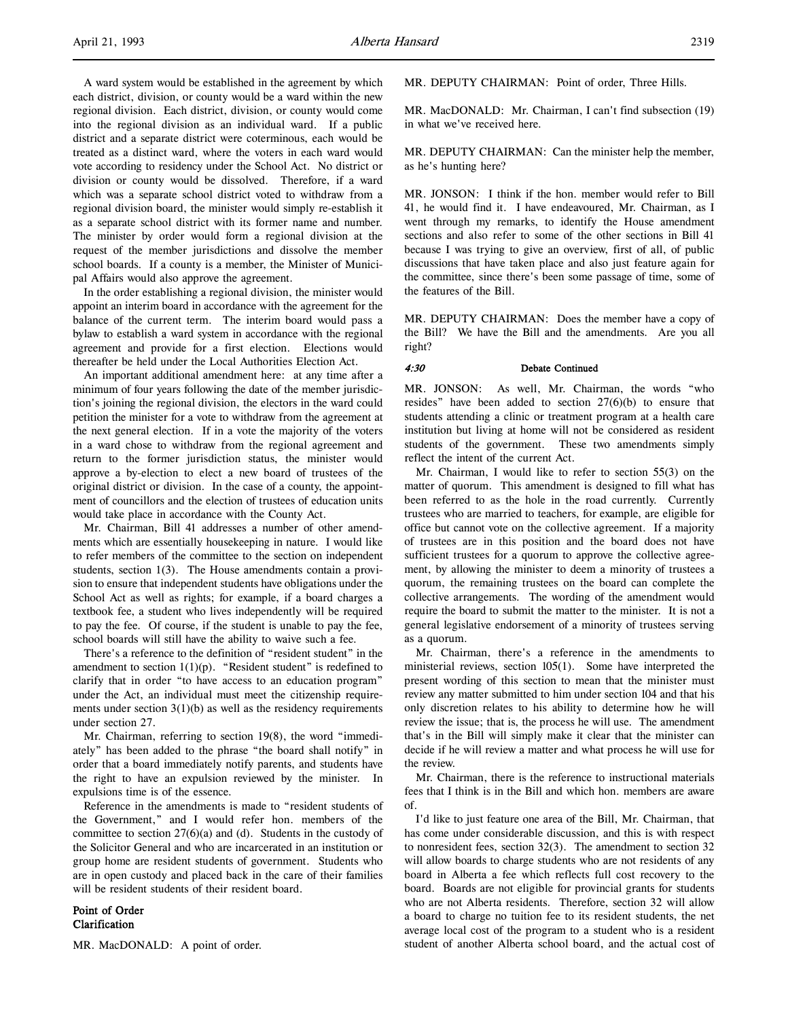A ward system would be established in the agreement by which each district, division, or county would be a ward within the new regional division. Each district, division, or county would come into the regional division as an individual ward. If a public district and a separate district were coterminous, each would be treated as a distinct ward, where the voters in each ward would vote according to residency under the School Act. No district or division or county would be dissolved. Therefore, if a ward which was a separate school district voted to withdraw from a regional division board, the minister would simply re-establish it as a separate school district with its former name and number. The minister by order would form a regional division at the request of the member jurisdictions and dissolve the member school boards. If a county is a member, the Minister of Municipal Affairs would also approve the agreement.

In the order establishing a regional division, the minister would appoint an interim board in accordance with the agreement for the balance of the current term. The interim board would pass a bylaw to establish a ward system in accordance with the regional agreement and provide for a first election. Elections would thereafter be held under the Local Authorities Election Act.

An important additional amendment here: at any time after a minimum of four years following the date of the member jurisdiction's joining the regional division, the electors in the ward could petition the minister for a vote to withdraw from the agreement at the next general election. If in a vote the majority of the voters in a ward chose to withdraw from the regional agreement and return to the former jurisdiction status, the minister would approve a by-election to elect a new board of trustees of the original district or division. In the case of a county, the appointment of councillors and the election of trustees of education units would take place in accordance with the County Act.

Mr. Chairman, Bill 41 addresses a number of other amendments which are essentially housekeeping in nature. I would like to refer members of the committee to the section on independent students, section 1(3). The House amendments contain a provision to ensure that independent students have obligations under the School Act as well as rights; for example, if a board charges a textbook fee, a student who lives independently will be required to pay the fee. Of course, if the student is unable to pay the fee, school boards will still have the ability to waive such a fee.

There's a reference to the definition of "resident student" in the amendment to section  $1(1)(p)$ . "Resident student" is redefined to clarify that in order "to have access to an education program" under the Act, an individual must meet the citizenship requirements under section  $3(1)(b)$  as well as the residency requirements under section 27.

Mr. Chairman, referring to section 19(8), the word "immediately" has been added to the phrase "the board shall notify" in order that a board immediately notify parents, and students have the right to have an expulsion reviewed by the minister. In expulsions time is of the essence.

Reference in the amendments is made to "resident students of the Government," and I would refer hon. members of the committee to section  $27(6)(a)$  and (d). Students in the custody of the Solicitor General and who are incarcerated in an institution or group home are resident students of government. Students who are in open custody and placed back in the care of their families will be resident students of their resident board.

Point of Order Clarification

MR. MacDONALD: A point of order.

MR. DEPUTY CHAIRMAN: Point of order, Three Hills.

MR. MacDONALD: Mr. Chairman, I can't find subsection (19) in what we've received here.

MR. DEPUTY CHAIRMAN: Can the minister help the member, as he's hunting here?

MR. JONSON: I think if the hon. member would refer to Bill 41, he would find it. I have endeavoured, Mr. Chairman, as I went through my remarks, to identify the House amendment sections and also refer to some of the other sections in Bill 41 because I was trying to give an overview, first of all, of public discussions that have taken place and also just feature again for the committee, since there's been some passage of time, some of the features of the Bill.

MR. DEPUTY CHAIRMAN: Does the member have a copy of the Bill? We have the Bill and the amendments. Are you all right?

# 4:30 Debate Continued

MR. JONSON: As well, Mr. Chairman, the words "who resides" have been added to section 27(6)(b) to ensure that students attending a clinic or treatment program at a health care institution but living at home will not be considered as resident students of the government. These two amendments simply reflect the intent of the current Act.

Mr. Chairman, I would like to refer to section 55(3) on the matter of quorum. This amendment is designed to fill what has been referred to as the hole in the road currently. Currently trustees who are married to teachers, for example, are eligible for office but cannot vote on the collective agreement. If a majority of trustees are in this position and the board does not have sufficient trustees for a quorum to approve the collective agreement, by allowing the minister to deem a minority of trustees a quorum, the remaining trustees on the board can complete the collective arrangements. The wording of the amendment would require the board to submit the matter to the minister. It is not a general legislative endorsement of a minority of trustees serving as a quorum.

Mr. Chairman, there's a reference in the amendments to ministerial reviews, section 105(1). Some have interpreted the present wording of this section to mean that the minister must review any matter submitted to him under section 104 and that his only discretion relates to his ability to determine how he will review the issue; that is, the process he will use. The amendment that's in the Bill will simply make it clear that the minister can decide if he will review a matter and what process he will use for the review.

Mr. Chairman, there is the reference to instructional materials fees that I think is in the Bill and which hon. members are aware of.

I'd like to just feature one area of the Bill, Mr. Chairman, that has come under considerable discussion, and this is with respect to nonresident fees, section 32(3). The amendment to section 32 will allow boards to charge students who are not residents of any board in Alberta a fee which reflects full cost recovery to the board. Boards are not eligible for provincial grants for students who are not Alberta residents. Therefore, section 32 will allow a board to charge no tuition fee to its resident students, the net average local cost of the program to a student who is a resident student of another Alberta school board, and the actual cost of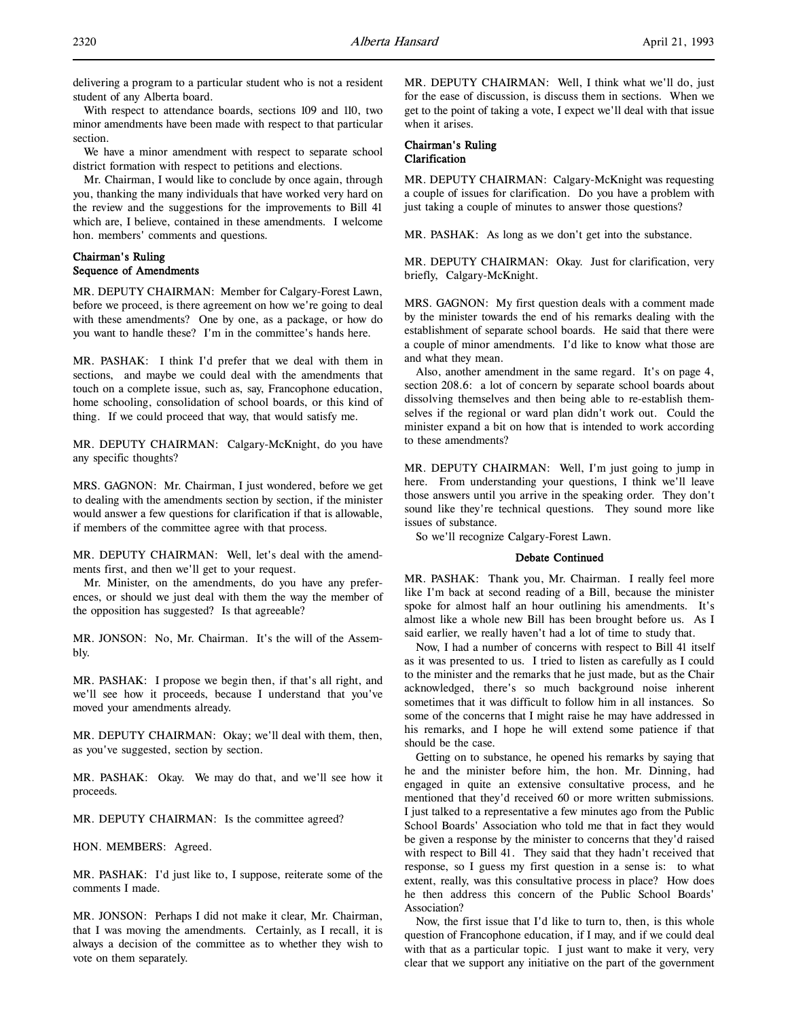delivering a program to a particular student who is not a resident student of any Alberta board.

With respect to attendance boards, sections 109 and 110, two minor amendments have been made with respect to that particular section.

We have a minor amendment with respect to separate school district formation with respect to petitions and elections.

Mr. Chairman, I would like to conclude by once again, through you, thanking the many individuals that have worked very hard on the review and the suggestions for the improvements to Bill 41 which are, I believe, contained in these amendments. I welcome hon. members' comments and questions.

# Chairman's Ruling Sequence of Amendments

MR. DEPUTY CHAIRMAN: Member for Calgary-Forest Lawn, before we proceed, is there agreement on how we're going to deal with these amendments? One by one, as a package, or how do you want to handle these? I'm in the committee's hands here.

MR. PASHAK: I think I'd prefer that we deal with them in sections, and maybe we could deal with the amendments that touch on a complete issue, such as, say, Francophone education, home schooling, consolidation of school boards, or this kind of thing. If we could proceed that way, that would satisfy me.

MR. DEPUTY CHAIRMAN: Calgary-McKnight, do you have any specific thoughts?

MRS. GAGNON: Mr. Chairman, I just wondered, before we get to dealing with the amendments section by section, if the minister would answer a few questions for clarification if that is allowable, if members of the committee agree with that process.

MR. DEPUTY CHAIRMAN: Well, let's deal with the amendments first, and then we'll get to your request.

Mr. Minister, on the amendments, do you have any preferences, or should we just deal with them the way the member of the opposition has suggested? Is that agreeable?

MR. JONSON: No, Mr. Chairman. It's the will of the Assembly.

MR. PASHAK: I propose we begin then, if that's all right, and we'll see how it proceeds, because I understand that you've moved your amendments already.

MR. DEPUTY CHAIRMAN: Okay; we'll deal with them, then, as you've suggested, section by section.

MR. PASHAK: Okay. We may do that, and we'll see how it proceeds.

MR. DEPUTY CHAIRMAN: Is the committee agreed?

HON. MEMBERS: Agreed.

MR. PASHAK: I'd just like to, I suppose, reiterate some of the comments I made.

MR. JONSON: Perhaps I did not make it clear, Mr. Chairman, that I was moving the amendments. Certainly, as I recall, it is always a decision of the committee as to whether they wish to vote on them separately.

MR. DEPUTY CHAIRMAN: Well, I think what we'll do, just for the ease of discussion, is discuss them in sections. When we get to the point of taking a vote, I expect we'll deal with that issue when it arises.

# Chairman's Ruling Clarification

MR. DEPUTY CHAIRMAN: Calgary-McKnight was requesting a couple of issues for clarification. Do you have a problem with just taking a couple of minutes to answer those questions?

MR. PASHAK: As long as we don't get into the substance.

MR. DEPUTY CHAIRMAN: Okay. Just for clarification, very briefly, Calgary-McKnight.

MRS. GAGNON: My first question deals with a comment made by the minister towards the end of his remarks dealing with the establishment of separate school boards. He said that there were a couple of minor amendments. I'd like to know what those are and what they mean.

Also, another amendment in the same regard. It's on page 4, section 208.6: a lot of concern by separate school boards about dissolving themselves and then being able to re-establish themselves if the regional or ward plan didn't work out. Could the minister expand a bit on how that is intended to work according to these amendments?

MR. DEPUTY CHAIRMAN: Well, I'm just going to jump in here. From understanding your questions, I think we'll leave those answers until you arrive in the speaking order. They don't sound like they're technical questions. They sound more like issues of substance.

So we'll recognize Calgary-Forest Lawn.

#### Debate Continued

MR. PASHAK: Thank you, Mr. Chairman. I really feel more like I'm back at second reading of a Bill, because the minister spoke for almost half an hour outlining his amendments. It's almost like a whole new Bill has been brought before us. As I said earlier, we really haven't had a lot of time to study that.

Now, I had a number of concerns with respect to Bill 41 itself as it was presented to us. I tried to listen as carefully as I could to the minister and the remarks that he just made, but as the Chair acknowledged, there's so much background noise inherent sometimes that it was difficult to follow him in all instances. So some of the concerns that I might raise he may have addressed in his remarks, and I hope he will extend some patience if that should be the case.

Getting on to substance, he opened his remarks by saying that he and the minister before him, the hon. Mr. Dinning, had engaged in quite an extensive consultative process, and he mentioned that they'd received 60 or more written submissions. I just talked to a representative a few minutes ago from the Public School Boards' Association who told me that in fact they would be given a response by the minister to concerns that they'd raised with respect to Bill 41. They said that they hadn't received that response, so I guess my first question in a sense is: to what extent, really, was this consultative process in place? How does he then address this concern of the Public School Boards' Association?

Now, the first issue that I'd like to turn to, then, is this whole question of Francophone education, if I may, and if we could deal with that as a particular topic. I just want to make it very, very clear that we support any initiative on the part of the government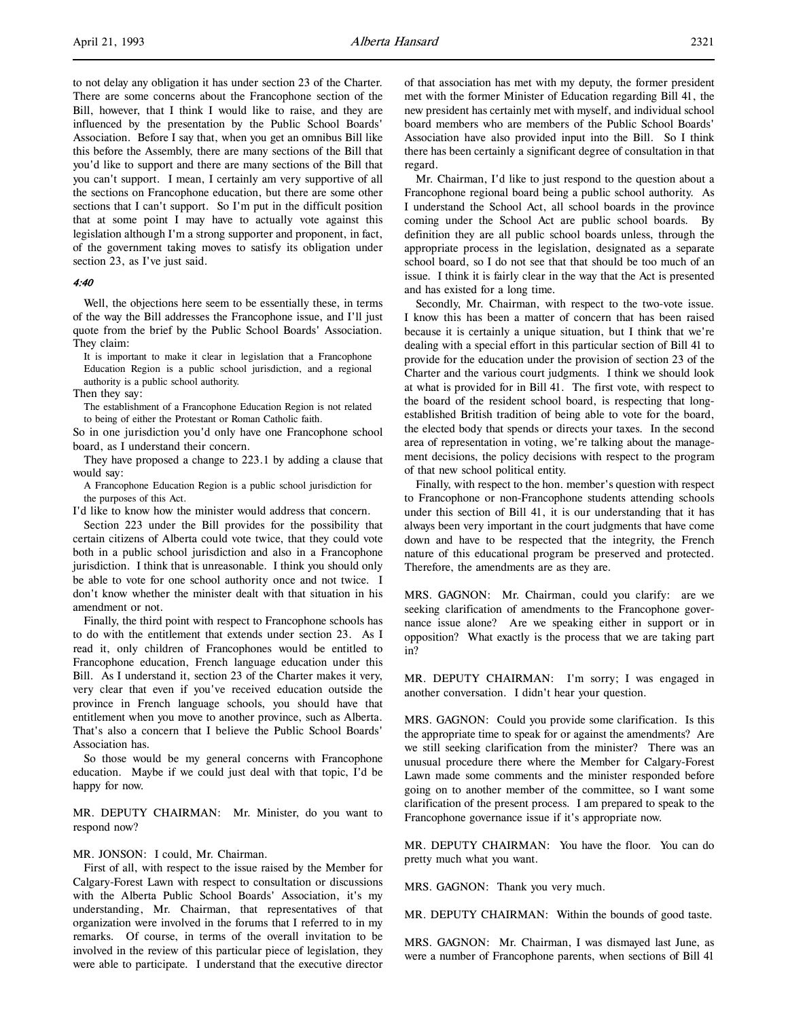to not delay any obligation it has under section 23 of the Charter. There are some concerns about the Francophone section of the Bill, however, that I think I would like to raise, and they are influenced by the presentation by the Public School Boards' Association. Before I say that, when you get an omnibus Bill like this before the Assembly, there are many sections of the Bill that you'd like to support and there are many sections of the Bill that you can't support. I mean, I certainly am very supportive of all the sections on Francophone education, but there are some other sections that I can't support. So I'm put in the difficult position that at some point I may have to actually vote against this legislation although I'm a strong supporter and proponent, in fact, of the government taking moves to satisfy its obligation under section 23, as I've just said.

# 4:40

Well, the objections here seem to be essentially these, in terms of the way the Bill addresses the Francophone issue, and I'll just quote from the brief by the Public School Boards' Association. They claim:

It is important to make it clear in legislation that a Francophone Education Region is a public school jurisdiction, and a regional authority is a public school authority.

Then they say:

The establishment of a Francophone Education Region is not related to being of either the Protestant or Roman Catholic faith.

So in one jurisdiction you'd only have one Francophone school board, as I understand their concern.

They have proposed a change to 223.1 by adding a clause that would say:

A Francophone Education Region is a public school jurisdiction for the purposes of this Act.

I'd like to know how the minister would address that concern.

Section 223 under the Bill provides for the possibility that certain citizens of Alberta could vote twice, that they could vote both in a public school jurisdiction and also in a Francophone jurisdiction. I think that is unreasonable. I think you should only be able to vote for one school authority once and not twice. I don't know whether the minister dealt with that situation in his amendment or not.

Finally, the third point with respect to Francophone schools has to do with the entitlement that extends under section 23. As I read it, only children of Francophones would be entitled to Francophone education, French language education under this Bill. As I understand it, section 23 of the Charter makes it very, very clear that even if you've received education outside the province in French language schools, you should have that entitlement when you move to another province, such as Alberta. That's also a concern that I believe the Public School Boards' Association has.

So those would be my general concerns with Francophone education. Maybe if we could just deal with that topic, I'd be happy for now.

MR. DEPUTY CHAIRMAN: Mr. Minister, do you want to respond now?

#### MR. JONSON: I could, Mr. Chairman.

First of all, with respect to the issue raised by the Member for Calgary-Forest Lawn with respect to consultation or discussions with the Alberta Public School Boards' Association, it's my understanding, Mr. Chairman, that representatives of that organization were involved in the forums that I referred to in my remarks. Of course, in terms of the overall invitation to be involved in the review of this particular piece of legislation, they were able to participate. I understand that the executive director

of that association has met with my deputy, the former president met with the former Minister of Education regarding Bill 41, the new president has certainly met with myself, and individual school board members who are members of the Public School Boards' Association have also provided input into the Bill. So I think there has been certainly a significant degree of consultation in that regard.

Mr. Chairman, I'd like to just respond to the question about a Francophone regional board being a public school authority. As I understand the School Act, all school boards in the province coming under the School Act are public school boards. By definition they are all public school boards unless, through the appropriate process in the legislation, designated as a separate school board, so I do not see that that should be too much of an issue. I think it is fairly clear in the way that the Act is presented and has existed for a long time.

Secondly, Mr. Chairman, with respect to the two-vote issue. I know this has been a matter of concern that has been raised because it is certainly a unique situation, but I think that we're dealing with a special effort in this particular section of Bill 41 to provide for the education under the provision of section 23 of the Charter and the various court judgments. I think we should look at what is provided for in Bill 41. The first vote, with respect to the board of the resident school board, is respecting that longestablished British tradition of being able to vote for the board, the elected body that spends or directs your taxes. In the second area of representation in voting, we're talking about the management decisions, the policy decisions with respect to the program of that new school political entity.

Finally, with respect to the hon. member's question with respect to Francophone or non-Francophone students attending schools under this section of Bill 41, it is our understanding that it has always been very important in the court judgments that have come down and have to be respected that the integrity, the French nature of this educational program be preserved and protected. Therefore, the amendments are as they are.

MRS. GAGNON: Mr. Chairman, could you clarify: are we seeking clarification of amendments to the Francophone governance issue alone? Are we speaking either in support or in opposition? What exactly is the process that we are taking part in?

MR. DEPUTY CHAIRMAN: I'm sorry; I was engaged in another conversation. I didn't hear your question.

MRS. GAGNON: Could you provide some clarification. Is this the appropriate time to speak for or against the amendments? Are we still seeking clarification from the minister? There was an unusual procedure there where the Member for Calgary-Forest Lawn made some comments and the minister responded before going on to another member of the committee, so I want some clarification of the present process. I am prepared to speak to the Francophone governance issue if it's appropriate now.

MR. DEPUTY CHAIRMAN: You have the floor. You can do pretty much what you want.

MRS. GAGNON: Thank you very much.

MR. DEPUTY CHAIRMAN: Within the bounds of good taste.

MRS. GAGNON: Mr. Chairman, I was dismayed last June, as were a number of Francophone parents, when sections of Bill 41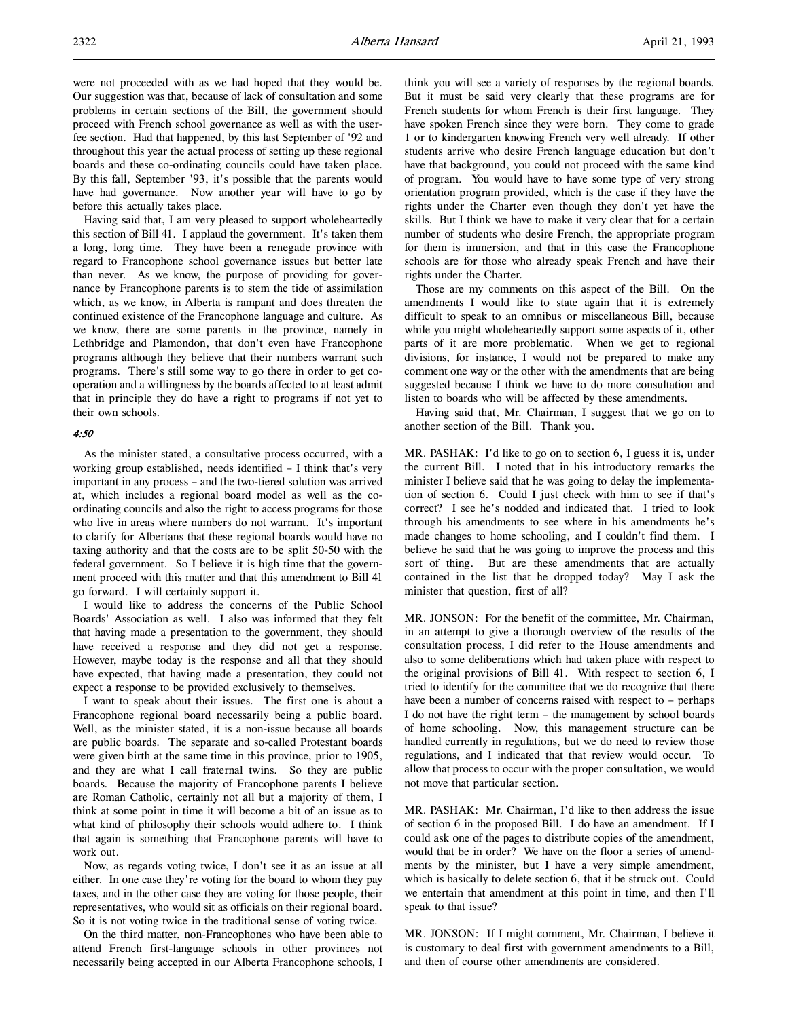were not proceeded with as we had hoped that they would be. Our suggestion was that, because of lack of consultation and some problems in certain sections of the Bill, the government should proceed with French school governance as well as with the userfee section. Had that happened, by this last September of '92 and throughout this year the actual process of setting up these regional boards and these co-ordinating councils could have taken place. By this fall, September '93, it's possible that the parents would have had governance. Now another year will have to go by before this actually takes place.

Having said that, I am very pleased to support wholeheartedly this section of Bill 41. I applaud the government. It's taken them a long, long time. They have been a renegade province with regard to Francophone school governance issues but better late than never. As we know, the purpose of providing for governance by Francophone parents is to stem the tide of assimilation which, as we know, in Alberta is rampant and does threaten the continued existence of the Francophone language and culture. As we know, there are some parents in the province, namely in Lethbridge and Plamondon, that don't even have Francophone programs although they believe that their numbers warrant such programs. There's still some way to go there in order to get cooperation and a willingness by the boards affected to at least admit that in principle they do have a right to programs if not yet to their own schools.

#### 4:50

As the minister stated, a consultative process occurred, with a working group established, needs identified – I think that's very important in any process – and the two-tiered solution was arrived at, which includes a regional board model as well as the coordinating councils and also the right to access programs for those who live in areas where numbers do not warrant. It's important to clarify for Albertans that these regional boards would have no taxing authority and that the costs are to be split 50-50 with the federal government. So I believe it is high time that the government proceed with this matter and that this amendment to Bill 41 go forward. I will certainly support it.

I would like to address the concerns of the Public School Boards' Association as well. I also was informed that they felt that having made a presentation to the government, they should have received a response and they did not get a response. However, maybe today is the response and all that they should have expected, that having made a presentation, they could not expect a response to be provided exclusively to themselves.

I want to speak about their issues. The first one is about a Francophone regional board necessarily being a public board. Well, as the minister stated, it is a non-issue because all boards are public boards. The separate and so-called Protestant boards were given birth at the same time in this province, prior to 1905, and they are what I call fraternal twins. So they are public boards. Because the majority of Francophone parents I believe are Roman Catholic, certainly not all but a majority of them, I think at some point in time it will become a bit of an issue as to what kind of philosophy their schools would adhere to. I think that again is something that Francophone parents will have to work out.

Now, as regards voting twice, I don't see it as an issue at all either. In one case they're voting for the board to whom they pay taxes, and in the other case they are voting for those people, their representatives, who would sit as officials on their regional board. So it is not voting twice in the traditional sense of voting twice.

On the third matter, non-Francophones who have been able to attend French first-language schools in other provinces not necessarily being accepted in our Alberta Francophone schools, I think you will see a variety of responses by the regional boards. But it must be said very clearly that these programs are for French students for whom French is their first language. They have spoken French since they were born. They come to grade 1 or to kindergarten knowing French very well already. If other students arrive who desire French language education but don't have that background, you could not proceed with the same kind of program. You would have to have some type of very strong orientation program provided, which is the case if they have the rights under the Charter even though they don't yet have the skills. But I think we have to make it very clear that for a certain number of students who desire French, the appropriate program for them is immersion, and that in this case the Francophone schools are for those who already speak French and have their rights under the Charter.

Those are my comments on this aspect of the Bill. On the amendments I would like to state again that it is extremely difficult to speak to an omnibus or miscellaneous Bill, because while you might wholeheartedly support some aspects of it, other parts of it are more problematic. When we get to regional divisions, for instance, I would not be prepared to make any comment one way or the other with the amendments that are being suggested because I think we have to do more consultation and listen to boards who will be affected by these amendments.

Having said that, Mr. Chairman, I suggest that we go on to another section of the Bill. Thank you.

MR. PASHAK: I'd like to go on to section 6, I guess it is, under the current Bill. I noted that in his introductory remarks the minister I believe said that he was going to delay the implementation of section 6. Could I just check with him to see if that's correct? I see he's nodded and indicated that. I tried to look through his amendments to see where in his amendments he's made changes to home schooling, and I couldn't find them. I believe he said that he was going to improve the process and this sort of thing. But are these amendments that are actually contained in the list that he dropped today? May I ask the minister that question, first of all?

MR. JONSON: For the benefit of the committee, Mr. Chairman, in an attempt to give a thorough overview of the results of the consultation process, I did refer to the House amendments and also to some deliberations which had taken place with respect to the original provisions of Bill 41. With respect to section 6, I tried to identify for the committee that we do recognize that there have been a number of concerns raised with respect to - perhaps I do not have the right term – the management by school boards of home schooling. Now, this management structure can be handled currently in regulations, but we do need to review those regulations, and I indicated that that review would occur. To allow that process to occur with the proper consultation, we would not move that particular section.

MR. PASHAK: Mr. Chairman, I'd like to then address the issue of section 6 in the proposed Bill. I do have an amendment. If I could ask one of the pages to distribute copies of the amendment, would that be in order? We have on the floor a series of amendments by the minister, but I have a very simple amendment, which is basically to delete section 6, that it be struck out. Could we entertain that amendment at this point in time, and then I'll speak to that issue?

MR. JONSON: If I might comment, Mr. Chairman, I believe it is customary to deal first with government amendments to a Bill, and then of course other amendments are considered.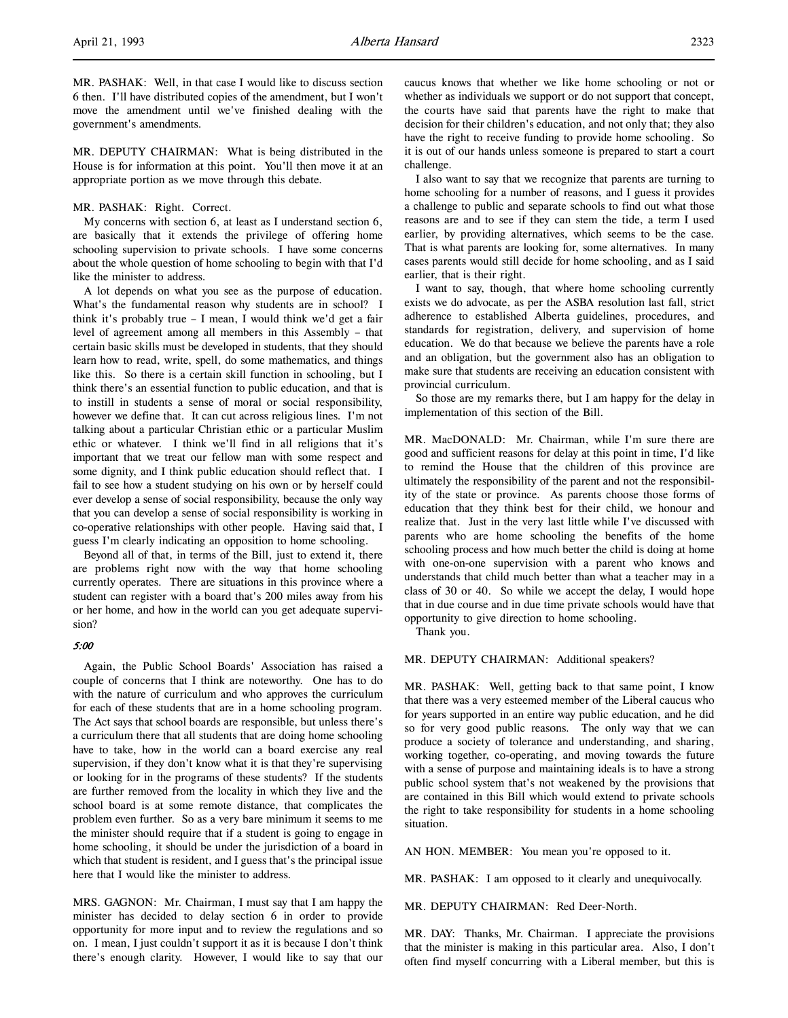MR. PASHAK: Well, in that case I would like to discuss section 6 then. I'll have distributed copies of the amendment, but I won't move the amendment until we've finished dealing with the government's amendments.

MR. DEPUTY CHAIRMAN: What is being distributed in the House is for information at this point. You'll then move it at an appropriate portion as we move through this debate.

#### MR. PASHAK: Right. Correct.

My concerns with section 6, at least as I understand section 6, are basically that it extends the privilege of offering home schooling supervision to private schools. I have some concerns about the whole question of home schooling to begin with that I'd like the minister to address.

A lot depends on what you see as the purpose of education. What's the fundamental reason why students are in school? I think it's probably true – I mean, I would think we'd get a fair level of agreement among all members in this Assembly – that certain basic skills must be developed in students, that they should learn how to read, write, spell, do some mathematics, and things like this. So there is a certain skill function in schooling, but I think there's an essential function to public education, and that is to instill in students a sense of moral or social responsibility, however we define that. It can cut across religious lines. I'm not talking about a particular Christian ethic or a particular Muslim ethic or whatever. I think we'll find in all religions that it's important that we treat our fellow man with some respect and some dignity, and I think public education should reflect that. I fail to see how a student studying on his own or by herself could ever develop a sense of social responsibility, because the only way that you can develop a sense of social responsibility is working in co-operative relationships with other people. Having said that, I guess I'm clearly indicating an opposition to home schooling.

Beyond all of that, in terms of the Bill, just to extend it, there are problems right now with the way that home schooling currently operates. There are situations in this province where a student can register with a board that's 200 miles away from his or her home, and how in the world can you get adequate supervision?

#### 5:00

Again, the Public School Boards' Association has raised a couple of concerns that I think are noteworthy. One has to do with the nature of curriculum and who approves the curriculum for each of these students that are in a home schooling program. The Act says that school boards are responsible, but unless there's a curriculum there that all students that are doing home schooling have to take, how in the world can a board exercise any real supervision, if they don't know what it is that they're supervising or looking for in the programs of these students? If the students are further removed from the locality in which they live and the school board is at some remote distance, that complicates the problem even further. So as a very bare minimum it seems to me the minister should require that if a student is going to engage in home schooling, it should be under the jurisdiction of a board in which that student is resident, and I guess that's the principal issue here that I would like the minister to address.

MRS. GAGNON: Mr. Chairman, I must say that I am happy the minister has decided to delay section 6 in order to provide opportunity for more input and to review the regulations and so on. I mean, I just couldn't support it as it is because I don't think there's enough clarity. However, I would like to say that our

caucus knows that whether we like home schooling or not or whether as individuals we support or do not support that concept, the courts have said that parents have the right to make that decision for their children's education, and not only that; they also have the right to receive funding to provide home schooling. So it is out of our hands unless someone is prepared to start a court challenge.

I also want to say that we recognize that parents are turning to home schooling for a number of reasons, and I guess it provides a challenge to public and separate schools to find out what those reasons are and to see if they can stem the tide, a term I used earlier, by providing alternatives, which seems to be the case. That is what parents are looking for, some alternatives. In many cases parents would still decide for home schooling, and as I said earlier, that is their right.

I want to say, though, that where home schooling currently exists we do advocate, as per the ASBA resolution last fall, strict adherence to established Alberta guidelines, procedures, and standards for registration, delivery, and supervision of home education. We do that because we believe the parents have a role and an obligation, but the government also has an obligation to make sure that students are receiving an education consistent with provincial curriculum.

So those are my remarks there, but I am happy for the delay in implementation of this section of the Bill.

MR. MacDONALD: Mr. Chairman, while I'm sure there are good and sufficient reasons for delay at this point in time, I'd like to remind the House that the children of this province are ultimately the responsibility of the parent and not the responsibility of the state or province. As parents choose those forms of education that they think best for their child, we honour and realize that. Just in the very last little while I've discussed with parents who are home schooling the benefits of the home schooling process and how much better the child is doing at home with one-on-one supervision with a parent who knows and understands that child much better than what a teacher may in a class of 30 or 40. So while we accept the delay, I would hope that in due course and in due time private schools would have that opportunity to give direction to home schooling.

Thank you.

#### MR. DEPUTY CHAIRMAN: Additional speakers?

MR. PASHAK: Well, getting back to that same point, I know that there was a very esteemed member of the Liberal caucus who for years supported in an entire way public education, and he did so for very good public reasons. The only way that we can produce a society of tolerance and understanding, and sharing, working together, co-operating, and moving towards the future with a sense of purpose and maintaining ideals is to have a strong public school system that's not weakened by the provisions that are contained in this Bill which would extend to private schools the right to take responsibility for students in a home schooling situation.

AN HON. MEMBER: You mean you're opposed to it.

MR. PASHAK: I am opposed to it clearly and unequivocally.

MR. DEPUTY CHAIRMAN: Red Deer-North.

MR. DAY: Thanks, Mr. Chairman. I appreciate the provisions that the minister is making in this particular area. Also, I don't often find myself concurring with a Liberal member, but this is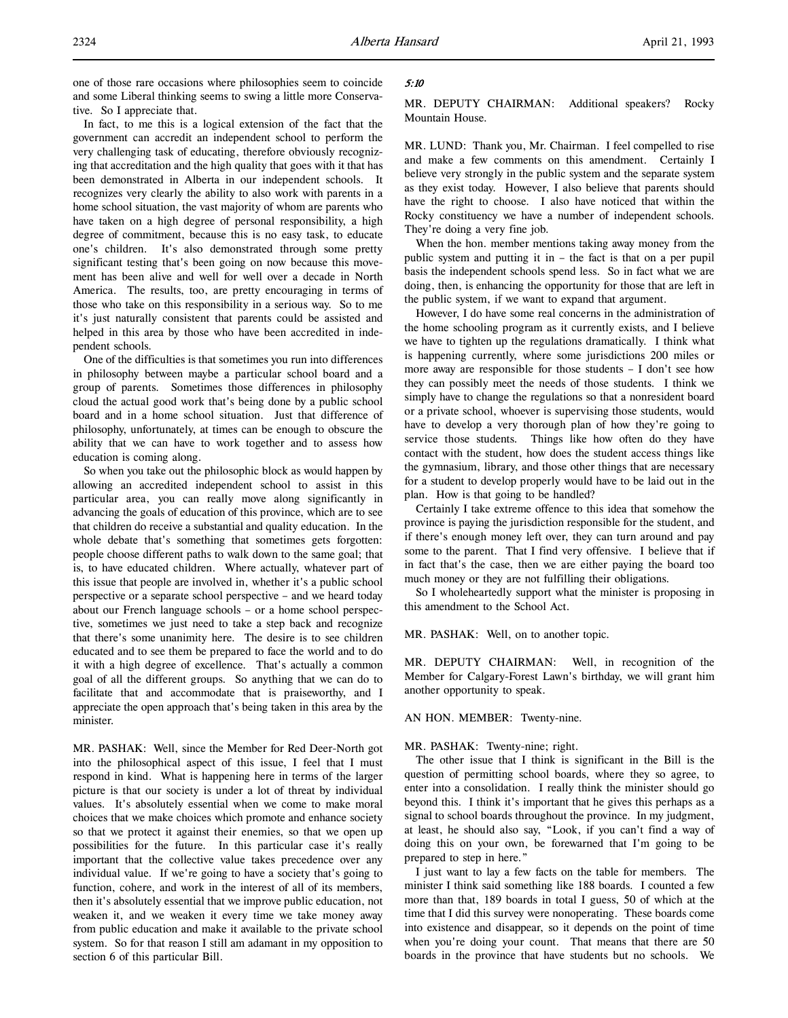one of those rare occasions where philosophies seem to coincide and some Liberal thinking seems to swing a little more Conservative. So I appreciate that.

In fact, to me this is a logical extension of the fact that the government can accredit an independent school to perform the very challenging task of educating, therefore obviously recognizing that accreditation and the high quality that goes with it that has been demonstrated in Alberta in our independent schools. It recognizes very clearly the ability to also work with parents in a home school situation, the vast majority of whom are parents who have taken on a high degree of personal responsibility, a high degree of commitment, because this is no easy task, to educate one's children. It's also demonstrated through some pretty significant testing that's been going on now because this movement has been alive and well for well over a decade in North America. The results, too, are pretty encouraging in terms of those who take on this responsibility in a serious way. So to me it's just naturally consistent that parents could be assisted and helped in this area by those who have been accredited in independent schools.

One of the difficulties is that sometimes you run into differences in philosophy between maybe a particular school board and a group of parents. Sometimes those differences in philosophy cloud the actual good work that's being done by a public school board and in a home school situation. Just that difference of philosophy, unfortunately, at times can be enough to obscure the ability that we can have to work together and to assess how education is coming along.

So when you take out the philosophic block as would happen by allowing an accredited independent school to assist in this particular area, you can really move along significantly in advancing the goals of education of this province, which are to see that children do receive a substantial and quality education. In the whole debate that's something that sometimes gets forgotten: people choose different paths to walk down to the same goal; that is, to have educated children. Where actually, whatever part of this issue that people are involved in, whether it's a public school perspective or a separate school perspective – and we heard today about our French language schools – or a home school perspective, sometimes we just need to take a step back and recognize that there's some unanimity here. The desire is to see children educated and to see them be prepared to face the world and to do it with a high degree of excellence. That's actually a common goal of all the different groups. So anything that we can do to facilitate that and accommodate that is praiseworthy, and I appreciate the open approach that's being taken in this area by the minister.

MR. PASHAK: Well, since the Member for Red Deer-North got into the philosophical aspect of this issue, I feel that I must respond in kind. What is happening here in terms of the larger picture is that our society is under a lot of threat by individual values. It's absolutely essential when we come to make moral choices that we make choices which promote and enhance society so that we protect it against their enemies, so that we open up possibilities for the future. In this particular case it's really important that the collective value takes precedence over any individual value. If we're going to have a society that's going to function, cohere, and work in the interest of all of its members, then it's absolutely essential that we improve public education, not weaken it, and we weaken it every time we take money away from public education and make it available to the private school system. So for that reason I still am adamant in my opposition to section 6 of this particular Bill.

# 5:10

MR. DEPUTY CHAIRMAN: Additional speakers? Rocky Mountain House.

MR. LUND: Thank you, Mr. Chairman. I feel compelled to rise and make a few comments on this amendment. Certainly I believe very strongly in the public system and the separate system as they exist today. However, I also believe that parents should have the right to choose. I also have noticed that within the Rocky constituency we have a number of independent schools. They're doing a very fine job.

When the hon. member mentions taking away money from the public system and putting it in – the fact is that on a per pupil basis the independent schools spend less. So in fact what we are doing, then, is enhancing the opportunity for those that are left in the public system, if we want to expand that argument.

However, I do have some real concerns in the administration of the home schooling program as it currently exists, and I believe we have to tighten up the regulations dramatically. I think what is happening currently, where some jurisdictions 200 miles or more away are responsible for those students – I don't see how they can possibly meet the needs of those students. I think we simply have to change the regulations so that a nonresident board or a private school, whoever is supervising those students, would have to develop a very thorough plan of how they're going to service those students. Things like how often do they have contact with the student, how does the student access things like the gymnasium, library, and those other things that are necessary for a student to develop properly would have to be laid out in the plan. How is that going to be handled?

Certainly I take extreme offence to this idea that somehow the province is paying the jurisdiction responsible for the student, and if there's enough money left over, they can turn around and pay some to the parent. That I find very offensive. I believe that if in fact that's the case, then we are either paying the board too much money or they are not fulfilling their obligations.

So I wholeheartedly support what the minister is proposing in this amendment to the School Act.

MR. PASHAK: Well, on to another topic.

MR. DEPUTY CHAIRMAN: Well, in recognition of the Member for Calgary-Forest Lawn's birthday, we will grant him another opportunity to speak.

#### AN HON. MEMBER: Twenty-nine.

#### MR. PASHAK: Twenty-nine; right.

The other issue that I think is significant in the Bill is the question of permitting school boards, where they so agree, to enter into a consolidation. I really think the minister should go beyond this. I think it's important that he gives this perhaps as a signal to school boards throughout the province. In my judgment, at least, he should also say, "Look, if you can't find a way of doing this on your own, be forewarned that I'm going to be prepared to step in here."

I just want to lay a few facts on the table for members. The minister I think said something like 188 boards. I counted a few more than that, 189 boards in total I guess, 50 of which at the time that I did this survey were nonoperating. These boards come into existence and disappear, so it depends on the point of time when you're doing your count. That means that there are 50 boards in the province that have students but no schools. We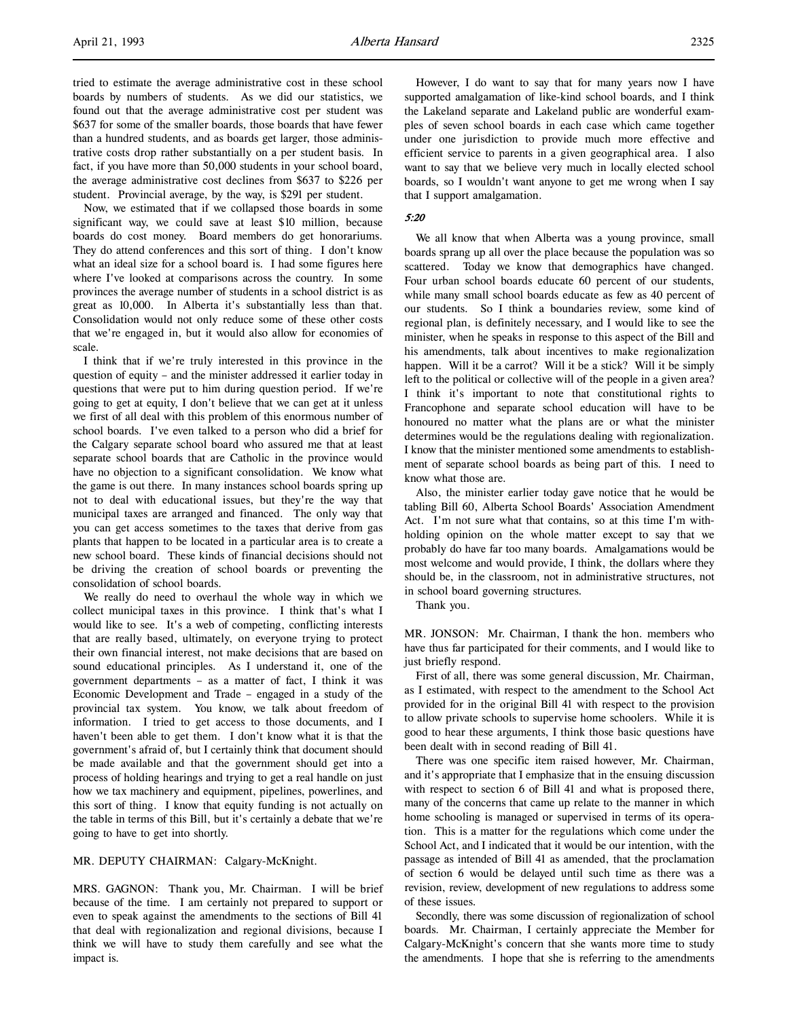Now, we estimated that if we collapsed those boards in some significant way, we could save at least \$10 million, because boards do cost money. Board members do get honorariums. They do attend conferences and this sort of thing. I don't know what an ideal size for a school board is. I had some figures here where I've looked at comparisons across the country. In some provinces the average number of students in a school district is as great as 10,000. In Alberta it's substantially less than that. Consolidation would not only reduce some of these other costs that we're engaged in, but it would also allow for economies of scale.

I think that if we're truly interested in this province in the question of equity – and the minister addressed it earlier today in questions that were put to him during question period. If we're going to get at equity, I don't believe that we can get at it unless we first of all deal with this problem of this enormous number of school boards. I've even talked to a person who did a brief for the Calgary separate school board who assured me that at least separate school boards that are Catholic in the province would have no objection to a significant consolidation. We know what the game is out there. In many instances school boards spring up not to deal with educational issues, but they're the way that municipal taxes are arranged and financed. The only way that you can get access sometimes to the taxes that derive from gas plants that happen to be located in a particular area is to create a new school board. These kinds of financial decisions should not be driving the creation of school boards or preventing the consolidation of school boards.

We really do need to overhaul the whole way in which we collect municipal taxes in this province. I think that's what I would like to see. It's a web of competing, conflicting interests that are really based, ultimately, on everyone trying to protect their own financial interest, not make decisions that are based on sound educational principles. As I understand it, one of the government departments – as a matter of fact, I think it was Economic Development and Trade – engaged in a study of the provincial tax system. You know, we talk about freedom of information. I tried to get access to those documents, and I haven't been able to get them. I don't know what it is that the government's afraid of, but I certainly think that document should be made available and that the government should get into a process of holding hearings and trying to get a real handle on just how we tax machinery and equipment, pipelines, powerlines, and this sort of thing. I know that equity funding is not actually on the table in terms of this Bill, but it's certainly a debate that we're going to have to get into shortly.

# MR. DEPUTY CHAIRMAN: Calgary-McKnight.

MRS. GAGNON: Thank you, Mr. Chairman. I will be brief because of the time. I am certainly not prepared to support or even to speak against the amendments to the sections of Bill 41 that deal with regionalization and regional divisions, because I think we will have to study them carefully and see what the impact is.

#### 5:20

that I support amalgamation.

We all know that when Alberta was a young province, small boards sprang up all over the place because the population was so scattered. Today we know that demographics have changed. Four urban school boards educate 60 percent of our students, while many small school boards educate as few as 40 percent of our students. So I think a boundaries review, some kind of regional plan, is definitely necessary, and I would like to see the minister, when he speaks in response to this aspect of the Bill and his amendments, talk about incentives to make regionalization happen. Will it be a carrot? Will it be a stick? Will it be simply left to the political or collective will of the people in a given area? I think it's important to note that constitutional rights to Francophone and separate school education will have to be honoured no matter what the plans are or what the minister determines would be the regulations dealing with regionalization. I know that the minister mentioned some amendments to establishment of separate school boards as being part of this. I need to know what those are.

Also, the minister earlier today gave notice that he would be tabling Bill 60, Alberta School Boards' Association Amendment Act. I'm not sure what that contains, so at this time I'm withholding opinion on the whole matter except to say that we probably do have far too many boards. Amalgamations would be most welcome and would provide, I think, the dollars where they should be, in the classroom, not in administrative structures, not in school board governing structures.

Thank you.

MR. JONSON: Mr. Chairman, I thank the hon. members who have thus far participated for their comments, and I would like to just briefly respond.

First of all, there was some general discussion, Mr. Chairman, as I estimated, with respect to the amendment to the School Act provided for in the original Bill 41 with respect to the provision to allow private schools to supervise home schoolers. While it is good to hear these arguments, I think those basic questions have been dealt with in second reading of Bill 41.

There was one specific item raised however, Mr. Chairman, and it's appropriate that I emphasize that in the ensuing discussion with respect to section 6 of Bill 41 and what is proposed there, many of the concerns that came up relate to the manner in which home schooling is managed or supervised in terms of its operation. This is a matter for the regulations which come under the School Act, and I indicated that it would be our intention, with the passage as intended of Bill 41 as amended, that the proclamation of section 6 would be delayed until such time as there was a revision, review, development of new regulations to address some of these issues.

Secondly, there was some discussion of regionalization of school boards. Mr. Chairman, I certainly appreciate the Member for Calgary-McKnight's concern that she wants more time to study the amendments. I hope that she is referring to the amendments